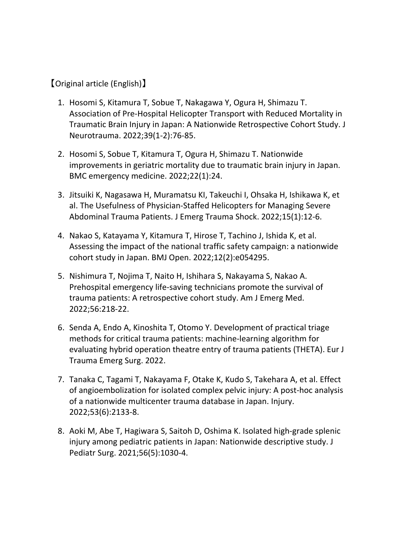## 【Original article (English)】

- 1. Hosomi S, Kitamura T, Sobue T, Nakagawa Y, Ogura H, Shimazu T. Association of Pre‐Hospital Helicopter Transport with Reduced Mortality in Traumatic Brain Injury in Japan: A Nationwide Retrospective Cohort Study. J Neurotrauma. 2022;39(1‐2):76‐85.
- 2. Hosomi S, Sobue T, Kitamura T, Ogura H, Shimazu T. Nationwide improvements in geriatric mortality due to traumatic brain injury in Japan. BMC emergency medicine. 2022;22(1):24.
- 3. Jitsuiki K, Nagasawa H, Muramatsu KI, Takeuchi I, Ohsaka H, Ishikawa K, et al. The Usefulness of Physician‐Staffed Helicopters for Managing Severe Abdominal Trauma Patients. J Emerg Trauma Shock. 2022;15(1):12‐6.
- 4. Nakao S, Katayama Y, Kitamura T, Hirose T, Tachino J, Ishida K, et al. Assessing the impact of the national traffic safety campaign: a nationwide cohort study in Japan. BMJ Open. 2022;12(2):e054295.
- 5. Nishimura T, Nojima T, Naito H, Ishihara S, Nakayama S, Nakao A. Prehospital emergency life‐saving technicians promote the survival of trauma patients: A retrospective cohort study. Am J Emerg Med. 2022;56:218‐22.
- 6. Senda A, Endo A, Kinoshita T, Otomo Y. Development of practical triage methods for critical trauma patients: machine‐learning algorithm for evaluating hybrid operation theatre entry of trauma patients (THETA). Eur J Trauma Emerg Surg. 2022.
- 7. Tanaka C, Tagami T, Nakayama F, Otake K, Kudo S, Takehara A, et al. Effect of angioembolization for isolated complex pelvic injury: A post‐hoc analysis of a nationwide multicenter trauma database in Japan. Injury. 2022;53(6):2133‐8.
- 8. Aoki M, Abe T, Hagiwara S, Saitoh D, Oshima K. Isolated high‐grade splenic injury among pediatric patients in Japan: Nationwide descriptive study. J Pediatr Surg. 2021;56(5):1030‐4.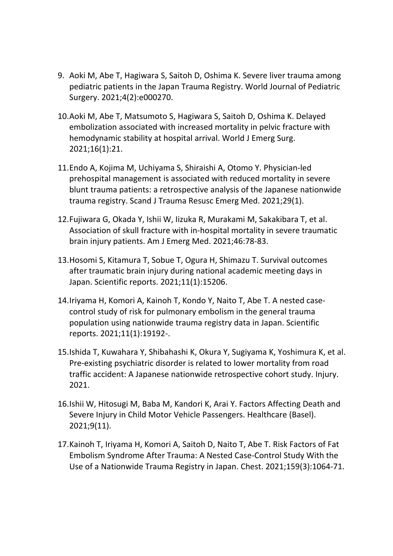- 9. Aoki M, Abe T, Hagiwara S, Saitoh D, Oshima K. Severe liver trauma among pediatric patients in the Japan Trauma Registry. World Journal of Pediatric Surgery. 2021;4(2):e000270.
- 10.Aoki M, Abe T, Matsumoto S, Hagiwara S, Saitoh D, Oshima K. Delayed embolization associated with increased mortality in pelvic fracture with hemodynamic stability at hospital arrival. World J Emerg Surg. 2021;16(1):21.
- 11.Endo A, Kojima M, Uchiyama S, Shiraishi A, Otomo Y. Physician‐led prehospital management is associated with reduced mortality in severe blunt trauma patients: a retrospective analysis of the Japanese nationwide trauma registry. Scand J Trauma Resusc Emerg Med. 2021;29(1).
- 12.Fujiwara G, Okada Y, Ishii W, Iizuka R, Murakami M, Sakakibara T, et al. Association of skull fracture with in‐hospital mortality in severe traumatic brain injury patients. Am J Emerg Med. 2021;46:78‐83.
- 13.Hosomi S, Kitamura T, Sobue T, Ogura H, Shimazu T. Survival outcomes after traumatic brain injury during national academic meeting days in Japan. Scientific reports. 2021;11(1):15206.
- 14.Iriyama H, Komori A, Kainoh T, Kondo Y, Naito T, Abe T. A nested case‐ control study of risk for pulmonary embolism in the general trauma population using nationwide trauma registry data in Japan. Scientific reports. 2021;11(1):19192‐.
- 15.Ishida T, Kuwahara Y, Shibahashi K, Okura Y, Sugiyama K, Yoshimura K, et al. Pre‐existing psychiatric disorder is related to lower mortality from road traffic accident: A Japanese nationwide retrospective cohort study. Injury. 2021.
- 16.Ishii W, Hitosugi M, Baba M, Kandori K, Arai Y. Factors Affecting Death and Severe Injury in Child Motor Vehicle Passengers. Healthcare (Basel). 2021;9(11).
- 17.Kainoh T, Iriyama H, Komori A, Saitoh D, Naito T, Abe T. Risk Factors of Fat Embolism Syndrome After Trauma: A Nested Case‐Control Study With the Use of a Nationwide Trauma Registry in Japan. Chest. 2021;159(3):1064‐71.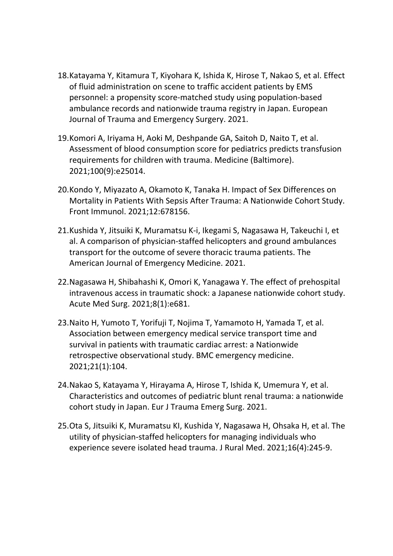- 18.Katayama Y, Kitamura T, Kiyohara K, Ishida K, Hirose T, Nakao S, et al. Effect of fluid administration on scene to traffic accident patients by EMS personnel: a propensity score‐matched study using population‐based ambulance records and nationwide trauma registry in Japan. European Journal of Trauma and Emergency Surgery. 2021.
- 19.Komori A, Iriyama H, Aoki M, Deshpande GA, Saitoh D, Naito T, et al. Assessment of blood consumption score for pediatrics predicts transfusion requirements for children with trauma. Medicine (Baltimore). 2021;100(9):e25014.
- 20.Kondo Y, Miyazato A, Okamoto K, Tanaka H. Impact of Sex Differences on Mortality in Patients With Sepsis After Trauma: A Nationwide Cohort Study. Front Immunol. 2021;12:678156.
- 21.Kushida Y, Jitsuiki K, Muramatsu K‐i, Ikegami S, Nagasawa H, Takeuchi I, et al. A comparison of physician‐staffed helicopters and ground ambulances transport for the outcome of severe thoracic trauma patients. The American Journal of Emergency Medicine. 2021.
- 22.Nagasawa H, Shibahashi K, Omori K, Yanagawa Y. The effect of prehospital intravenous access in traumatic shock: a Japanese nationwide cohort study. Acute Med Surg. 2021;8(1):e681.
- 23.Naito H, Yumoto T, Yorifuji T, Nojima T, Yamamoto H, Yamada T, et al. Association between emergency medical service transport time and survival in patients with traumatic cardiac arrest: a Nationwide retrospective observational study. BMC emergency medicine. 2021;21(1):104.
- 24.Nakao S, Katayama Y, Hirayama A, Hirose T, Ishida K, Umemura Y, et al. Characteristics and outcomes of pediatric blunt renal trauma: a nationwide cohort study in Japan. Eur J Trauma Emerg Surg. 2021.
- 25.Ota S, Jitsuiki K, Muramatsu KI, Kushida Y, Nagasawa H, Ohsaka H, et al. The utility of physician‐staffed helicopters for managing individuals who experience severe isolated head trauma. J Rural Med. 2021;16(4):245‐9.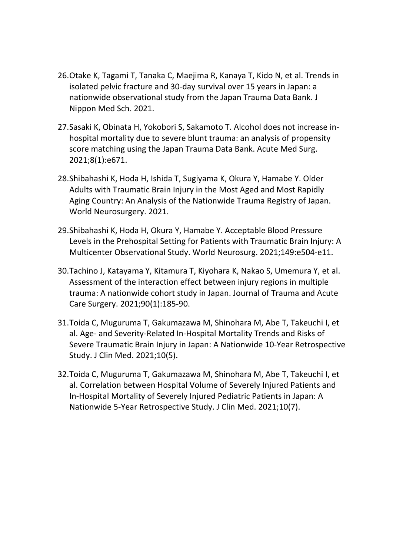- 26.Otake K, Tagami T, Tanaka C, Maejima R, Kanaya T, Kido N, et al. Trends in isolated pelvic fracture and 30‐day survival over 15 years in Japan: a nationwide observational study from the Japan Trauma Data Bank. J Nippon Med Sch. 2021.
- 27.Sasaki K, Obinata H, Yokobori S, Sakamoto T. Alcohol does not increase in‐ hospital mortality due to severe blunt trauma: an analysis of propensity score matching using the Japan Trauma Data Bank. Acute Med Surg. 2021;8(1):e671.
- 28.Shibahashi K, Hoda H, Ishida T, Sugiyama K, Okura Y, Hamabe Y. Older Adults with Traumatic Brain Injury in the Most Aged and Most Rapidly Aging Country: An Analysis of the Nationwide Trauma Registry of Japan. World Neurosurgery. 2021.
- 29.Shibahashi K, Hoda H, Okura Y, Hamabe Y. Acceptable Blood Pressure Levels in the Prehospital Setting for Patients with Traumatic Brain Injury: A Multicenter Observational Study. World Neurosurg. 2021;149:e504‐e11.
- 30.Tachino J, Katayama Y, Kitamura T, Kiyohara K, Nakao S, Umemura Y, et al. Assessment of the interaction effect between injury regions in multiple trauma: A nationwide cohort study in Japan. Journal of Trauma and Acute Care Surgery. 2021;90(1):185‐90.
- 31.Toida C, Muguruma T, Gakumazawa M, Shinohara M, Abe T, Takeuchi I, et al. Age‐ and Severity‐Related In‐Hospital Mortality Trends and Risks of Severe Traumatic Brain Injury in Japan: A Nationwide 10‐Year Retrospective Study. J Clin Med. 2021;10(5).
- 32.Toida C, Muguruma T, Gakumazawa M, Shinohara M, Abe T, Takeuchi I, et al. Correlation between Hospital Volume of Severely Injured Patients and In‐Hospital Mortality of Severely Injured Pediatric Patients in Japan: A Nationwide 5‐Year Retrospective Study. J Clin Med. 2021;10(7).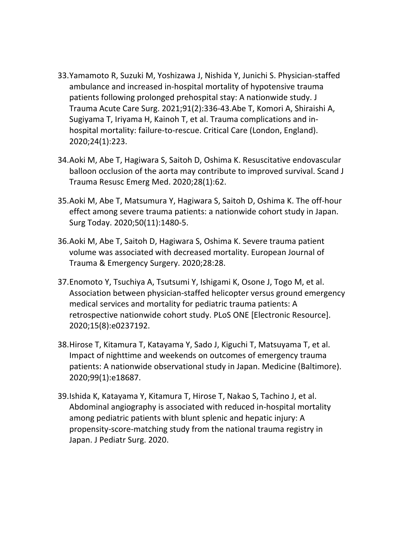- 33.Yamamoto R, Suzuki M, Yoshizawa J, Nishida Y, Junichi S. Physician‐staffed ambulance and increased in‐hospital mortality of hypotensive trauma patients following prolonged prehospital stay: A nationwide study. J Trauma Acute Care Surg. 2021;91(2):336‐43.Abe T, Komori A, Shiraishi A, Sugiyama T, Iriyama H, Kainoh T, et al. Trauma complications and in‐ hospital mortality: failure‐to‐rescue. Critical Care (London, England). 2020;24(1):223.
- 34.Aoki M, Abe T, Hagiwara S, Saitoh D, Oshima K. Resuscitative endovascular balloon occlusion of the aorta may contribute to improved survival. Scand J Trauma Resusc Emerg Med. 2020;28(1):62.
- 35.Aoki M, Abe T, Matsumura Y, Hagiwara S, Saitoh D, Oshima K. The off‐hour effect among severe trauma patients: a nationwide cohort study in Japan. Surg Today. 2020;50(11):1480‐5.
- 36.Aoki M, Abe T, Saitoh D, Hagiwara S, Oshima K. Severe trauma patient volume was associated with decreased mortality. European Journal of Trauma & Emergency Surgery. 2020;28:28.
- 37.Enomoto Y, Tsuchiya A, Tsutsumi Y, Ishigami K, Osone J, Togo M, et al. Association between physician‐staffed helicopter versus ground emergency medical services and mortality for pediatric trauma patients: A retrospective nationwide cohort study. PLoS ONE [Electronic Resource]. 2020;15(8):e0237192.
- 38.Hirose T, Kitamura T, Katayama Y, Sado J, Kiguchi T, Matsuyama T, et al. Impact of nighttime and weekends on outcomes of emergency trauma patients: A nationwide observational study in Japan. Medicine (Baltimore). 2020;99(1):e18687.
- 39.Ishida K, Katayama Y, Kitamura T, Hirose T, Nakao S, Tachino J, et al. Abdominal angiography is associated with reduced in‐hospital mortality among pediatric patients with blunt splenic and hepatic injury: A propensity‐score‐matching study from the national trauma registry in Japan. J Pediatr Surg. 2020.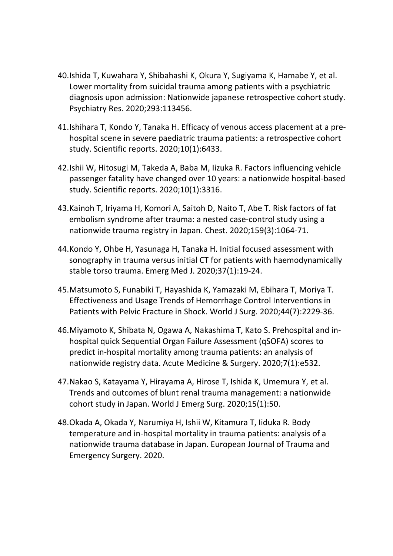- 40.Ishida T, Kuwahara Y, Shibahashi K, Okura Y, Sugiyama K, Hamabe Y, et al. Lower mortality from suicidal trauma among patients with a psychiatric diagnosis upon admission: Nationwide japanese retrospective cohort study. Psychiatry Res. 2020;293:113456.
- 41.Ishihara T, Kondo Y, Tanaka H. Efficacy of venous access placement at a pre‐ hospital scene in severe paediatric trauma patients: a retrospective cohort study. Scientific reports. 2020;10(1):6433.
- 42.Ishii W, Hitosugi M, Takeda A, Baba M, Iizuka R. Factors influencing vehicle passenger fatality have changed over 10 years: a nationwide hospital‐based study. Scientific reports. 2020;10(1):3316.
- 43.Kainoh T, Iriyama H, Komori A, Saitoh D, Naito T, Abe T. Risk factors of fat embolism syndrome after trauma: a nested case‐control study using a nationwide trauma registry in Japan. Chest. 2020;159(3):1064‐71.
- 44.Kondo Y, Ohbe H, Yasunaga H, Tanaka H. Initial focused assessment with sonography in trauma versus initial CT for patients with haemodynamically stable torso trauma. Emerg Med J. 2020;37(1):19‐24.
- 45.Matsumoto S, Funabiki T, Hayashida K, Yamazaki M, Ebihara T, Moriya T. Effectiveness and Usage Trends of Hemorrhage Control Interventions in Patients with Pelvic Fracture in Shock. World J Surg. 2020;44(7):2229‐36.
- 46.Miyamoto K, Shibata N, Ogawa A, Nakashima T, Kato S. Prehospital and in‐ hospital quick Sequential Organ Failure Assessment (qSOFA) scores to predict in‐hospital mortality among trauma patients: an analysis of nationwide registry data. Acute Medicine & Surgery. 2020;7(1):e532.
- 47.Nakao S, Katayama Y, Hirayama A, Hirose T, Ishida K, Umemura Y, et al. Trends and outcomes of blunt renal trauma management: a nationwide cohort study in Japan. World J Emerg Surg. 2020;15(1):50.
- 48.Okada A, Okada Y, Narumiya H, Ishii W, Kitamura T, Iiduka R. Body temperature and in‐hospital mortality in trauma patients: analysis of a nationwide trauma database in Japan. European Journal of Trauma and Emergency Surgery. 2020.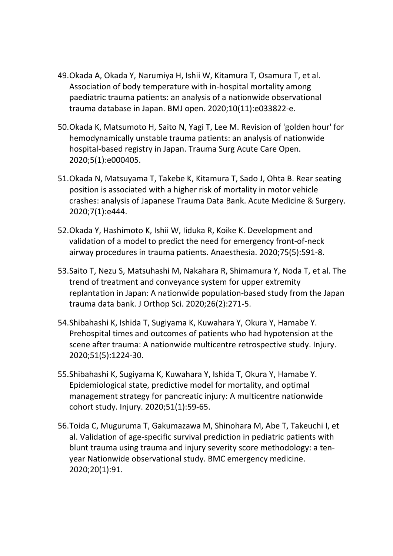- 49.Okada A, Okada Y, Narumiya H, Ishii W, Kitamura T, Osamura T, et al. Association of body temperature with in‐hospital mortality among paediatric trauma patients: an analysis of a nationwide observational trauma database in Japan. BMJ open. 2020;10(11):e033822‐e.
- 50.Okada K, Matsumoto H, Saito N, Yagi T, Lee M. Revision of 'golden hour' for hemodynamically unstable trauma patients: an analysis of nationwide hospital‐based registry in Japan. Trauma Surg Acute Care Open. 2020;5(1):e000405.
- 51.Okada N, Matsuyama T, Takebe K, Kitamura T, Sado J, Ohta B. Rear seating position is associated with a higher risk of mortality in motor vehicle crashes: analysis of Japanese Trauma Data Bank. Acute Medicine & Surgery. 2020;7(1):e444.
- 52.Okada Y, Hashimoto K, Ishii W, Iiduka R, Koike K. Development and validation of a model to predict the need for emergency front‐of‐neck airway procedures in trauma patients. Anaesthesia. 2020;75(5):591‐8.
- 53.Saito T, Nezu S, Matsuhashi M, Nakahara R, Shimamura Y, Noda T, et al. The trend of treatment and conveyance system for upper extremity replantation in Japan: A nationwide population‐based study from the Japan trauma data bank. J Orthop Sci. 2020;26(2):271‐5.
- 54.Shibahashi K, Ishida T, Sugiyama K, Kuwahara Y, Okura Y, Hamabe Y. Prehospital times and outcomes of patients who had hypotension at the scene after trauma: A nationwide multicentre retrospective study. Injury. 2020;51(5):1224‐30.
- 55.Shibahashi K, Sugiyama K, Kuwahara Y, Ishida T, Okura Y, Hamabe Y. Epidemiological state, predictive model for mortality, and optimal management strategy for pancreatic injury: A multicentre nationwide cohort study. Injury. 2020;51(1):59‐65.
- 56.Toida C, Muguruma T, Gakumazawa M, Shinohara M, Abe T, Takeuchi I, et al. Validation of age‐specific survival prediction in pediatric patients with blunt trauma using trauma and injury severity score methodology: a ten‐ year Nationwide observational study. BMC emergency medicine. 2020;20(1):91.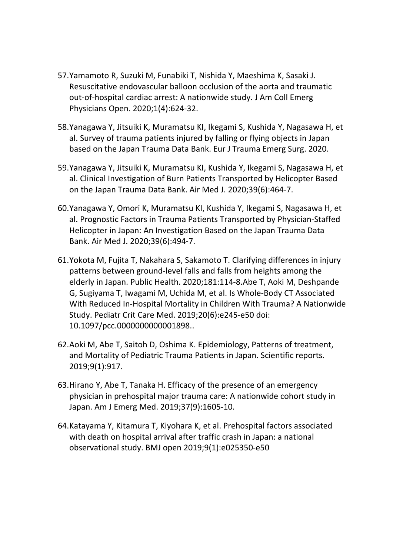- 57.Yamamoto R, Suzuki M, Funabiki T, Nishida Y, Maeshima K, Sasaki J. Resuscitative endovascular balloon occlusion of the aorta and traumatic out‐of‐hospital cardiac arrest: A nationwide study. J Am Coll Emerg Physicians Open. 2020;1(4):624‐32.
- 58.Yanagawa Y, Jitsuiki K, Muramatsu KI, Ikegami S, Kushida Y, Nagasawa H, et al. Survey of trauma patients injured by falling or flying objects in Japan based on the Japan Trauma Data Bank. Eur J Trauma Emerg Surg. 2020.
- 59.Yanagawa Y, Jitsuiki K, Muramatsu KI, Kushida Y, Ikegami S, Nagasawa H, et al. Clinical Investigation of Burn Patients Transported by Helicopter Based on the Japan Trauma Data Bank. Air Med J. 2020;39(6):464‐7.
- 60.Yanagawa Y, Omori K, Muramatsu KI, Kushida Y, Ikegami S, Nagasawa H, et al. Prognostic Factors in Trauma Patients Transported by Physician‐Staffed Helicopter in Japan: An Investigation Based on the Japan Trauma Data Bank. Air Med J. 2020;39(6):494‐7.
- 61.Yokota M, Fujita T, Nakahara S, Sakamoto T. Clarifying differences in injury patterns between ground‐level falls and falls from heights among the elderly in Japan. Public Health. 2020;181:114‐8.Abe T, Aoki M, Deshpande G, Sugiyama T, Iwagami M, Uchida M, et al. Is Whole‐Body CT Associated With Reduced In‐Hospital Mortality in Children With Trauma? A Nationwide Study. Pediatr Crit Care Med. 2019;20(6):e245‐e50 doi: 10.1097/pcc.0000000000001898..
- 62.Aoki M, Abe T, Saitoh D, Oshima K. Epidemiology, Patterns of treatment, and Mortality of Pediatric Trauma Patients in Japan. Scientific reports. 2019;9(1):917.
- 63.Hirano Y, Abe T, Tanaka H. Efficacy of the presence of an emergency physician in prehospital major trauma care: A nationwide cohort study in Japan. Am J Emerg Med. 2019;37(9):1605‐10.
- 64.Katayama Y, Kitamura T, Kiyohara K, et al. Prehospital factors associated with death on hospital arrival after traffic crash in Japan: a national observational study. BMJ open 2019;9(1):e025350‐e50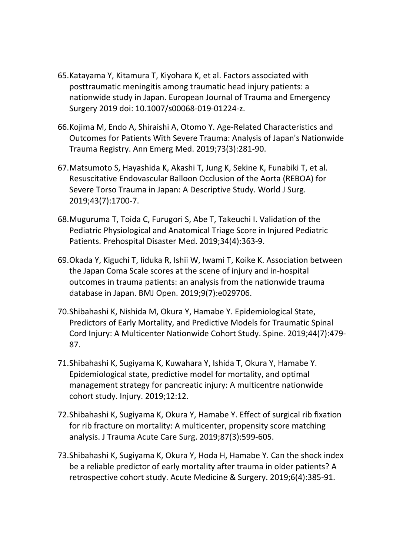- 65.Katayama Y, Kitamura T, Kiyohara K, et al. Factors associated with posttraumatic meningitis among traumatic head injury patients: a nationwide study in Japan. European Journal of Trauma and Emergency Surgery 2019 doi: 10.1007/s00068‐019‐01224‐z.
- 66.Kojima M, Endo A, Shiraishi A, Otomo Y. Age‐Related Characteristics and Outcomes for Patients With Severe Trauma: Analysis of Japan's Nationwide Trauma Registry. Ann Emerg Med. 2019;73(3):281‐90.
- 67.Matsumoto S, Hayashida K, Akashi T, Jung K, Sekine K, Funabiki T, et al. Resuscitative Endovascular Balloon Occlusion of the Aorta (REBOA) for Severe Torso Trauma in Japan: A Descriptive Study. World J Surg. 2019;43(7):1700‐7.
- 68.Muguruma T, Toida C, Furugori S, Abe T, Takeuchi I. Validation of the Pediatric Physiological and Anatomical Triage Score in Injured Pediatric Patients. Prehospital Disaster Med. 2019;34(4):363‐9.
- 69.Okada Y, Kiguchi T, Iiduka R, Ishii W, Iwami T, Koike K. Association between the Japan Coma Scale scores at the scene of injury and in‐hospital outcomes in trauma patients: an analysis from the nationwide trauma database in Japan. BMJ Open. 2019;9(7):e029706.
- 70.Shibahashi K, Nishida M, Okura Y, Hamabe Y. Epidemiological State, Predictors of Early Mortality, and Predictive Models for Traumatic Spinal Cord Injury: A Multicenter Nationwide Cohort Study. Spine. 2019;44(7):479‐ 87.
- 71.Shibahashi K, Sugiyama K, Kuwahara Y, Ishida T, Okura Y, Hamabe Y. Epidemiological state, predictive model for mortality, and optimal management strategy for pancreatic injury: A multicentre nationwide cohort study. Injury. 2019;12:12.
- 72.Shibahashi K, Sugiyama K, Okura Y, Hamabe Y. Effect of surgical rib fixation for rib fracture on mortality: A multicenter, propensity score matching analysis. J Trauma Acute Care Surg. 2019;87(3):599‐605.
- 73.Shibahashi K, Sugiyama K, Okura Y, Hoda H, Hamabe Y. Can the shock index be a reliable predictor of early mortality after trauma in older patients? A retrospective cohort study. Acute Medicine & Surgery. 2019;6(4):385‐91.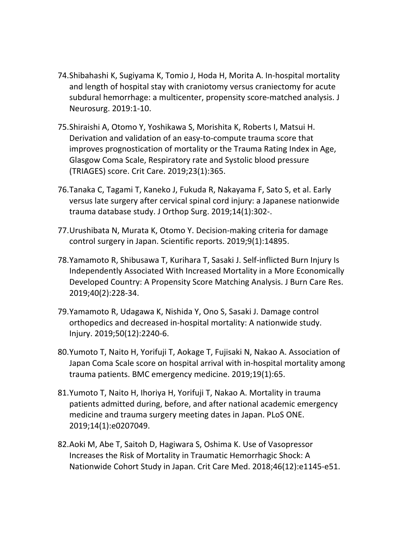- 74.Shibahashi K, Sugiyama K, Tomio J, Hoda H, Morita A. In‐hospital mortality and length of hospital stay with craniotomy versus craniectomy for acute subdural hemorrhage: a multicenter, propensity score‐matched analysis. J Neurosurg. 2019:1‐10.
- 75.Shiraishi A, Otomo Y, Yoshikawa S, Morishita K, Roberts I, Matsui H. Derivation and validation of an easy-to-compute trauma score that improves prognostication of mortality or the Trauma Rating Index in Age, Glasgow Coma Scale, Respiratory rate and Systolic blood pressure (TRIAGES) score. Crit Care. 2019;23(1):365.
- 76.Tanaka C, Tagami T, Kaneko J, Fukuda R, Nakayama F, Sato S, et al. Early versus late surgery after cervical spinal cord injury: a Japanese nationwide trauma database study. J Orthop Surg. 2019;14(1):302‐.
- 77.Urushibata N, Murata K, Otomo Y. Decision‐making criteria for damage control surgery in Japan. Scientific reports. 2019;9(1):14895.
- 78.Yamamoto R, Shibusawa T, Kurihara T, Sasaki J. Self‐inflicted Burn Injury Is Independently Associated With Increased Mortality in a More Economically Developed Country: A Propensity Score Matching Analysis. J Burn Care Res. 2019;40(2):228‐34.
- 79.Yamamoto R, Udagawa K, Nishida Y, Ono S, Sasaki J. Damage control orthopedics and decreased in‐hospital mortality: A nationwide study. Injury. 2019;50(12):2240‐6.
- 80.Yumoto T, Naito H, Yorifuji T, Aokage T, Fujisaki N, Nakao A. Association of Japan Coma Scale score on hospital arrival with in‐hospital mortality among trauma patients. BMC emergency medicine. 2019;19(1):65.
- 81.Yumoto T, Naito H, Ihoriya H, Yorifuji T, Nakao A. Mortality in trauma patients admitted during, before, and after national academic emergency medicine and trauma surgery meeting dates in Japan. PLoS ONE. 2019;14(1):e0207049.
- 82.Aoki M, Abe T, Saitoh D, Hagiwara S, Oshima K. Use of Vasopressor Increases the Risk of Mortality in Traumatic Hemorrhagic Shock: A Nationwide Cohort Study in Japan. Crit Care Med. 2018;46(12):e1145‐e51.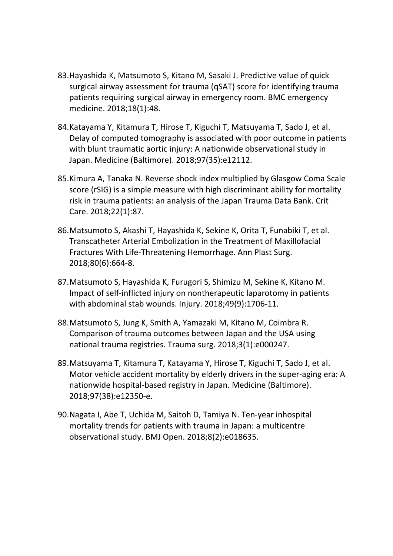- 83.Hayashida K, Matsumoto S, Kitano M, Sasaki J. Predictive value of quick surgical airway assessment for trauma (qSAT) score for identifying trauma patients requiring surgical airway in emergency room. BMC emergency medicine. 2018;18(1):48.
- 84.Katayama Y, Kitamura T, Hirose T, Kiguchi T, Matsuyama T, Sado J, et al. Delay of computed tomography is associated with poor outcome in patients with blunt traumatic aortic injury: A nationwide observational study in Japan. Medicine (Baltimore). 2018;97(35):e12112.
- 85.Kimura A, Tanaka N. Reverse shock index multiplied by Glasgow Coma Scale score (rSIG) is a simple measure with high discriminant ability for mortality risk in trauma patients: an analysis of the Japan Trauma Data Bank. Crit Care. 2018;22(1):87.
- 86.Matsumoto S, Akashi T, Hayashida K, Sekine K, Orita T, Funabiki T, et al. Transcatheter Arterial Embolization in the Treatment of Maxillofacial Fractures With Life‐Threatening Hemorrhage. Ann Plast Surg. 2018;80(6):664‐8.
- 87.Matsumoto S, Hayashida K, Furugori S, Shimizu M, Sekine K, Kitano M. Impact of self‐inflicted injury on nontherapeutic laparotomy in patients with abdominal stab wounds. Injury. 2018;49(9):1706‐11.
- 88.Matsumoto S, Jung K, Smith A, Yamazaki M, Kitano M, Coimbra R. Comparison of trauma outcomes between Japan and the USA using national trauma registries. Trauma surg. 2018;3(1):e000247.
- 89.Matsuyama T, Kitamura T, Katayama Y, Hirose T, Kiguchi T, Sado J, et al. Motor vehicle accident mortality by elderly drivers in the super-aging era: A nationwide hospital‐based registry in Japan. Medicine (Baltimore). 2018;97(38):e12350‐e.
- 90.Nagata I, Abe T, Uchida M, Saitoh D, Tamiya N. Ten‐year inhospital mortality trends for patients with trauma in Japan: a multicentre observational study. BMJ Open. 2018;8(2):e018635.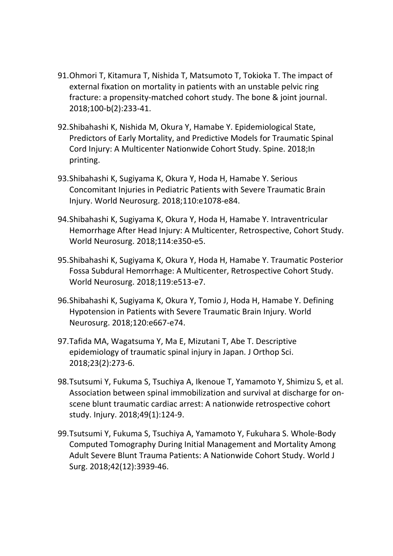- 91.Ohmori T, Kitamura T, Nishida T, Matsumoto T, Tokioka T. The impact of external fixation on mortality in patients with an unstable pelvic ring fracture: a propensity‐matched cohort study. The bone & joint journal. 2018;100‐b(2):233‐41.
- 92.Shibahashi K, Nishida M, Okura Y, Hamabe Y. Epidemiological State, Predictors of Early Mortality, and Predictive Models for Traumatic Spinal Cord Injury: A Multicenter Nationwide Cohort Study. Spine. 2018;In printing.
- 93.Shibahashi K, Sugiyama K, Okura Y, Hoda H, Hamabe Y. Serious Concomitant Injuries in Pediatric Patients with Severe Traumatic Brain Injury. World Neurosurg. 2018;110:e1078‐e84.
- 94.Shibahashi K, Sugiyama K, Okura Y, Hoda H, Hamabe Y. Intraventricular Hemorrhage After Head Injury: A Multicenter, Retrospective, Cohort Study. World Neurosurg. 2018;114:e350‐e5.
- 95.Shibahashi K, Sugiyama K, Okura Y, Hoda H, Hamabe Y. Traumatic Posterior Fossa Subdural Hemorrhage: A Multicenter, Retrospective Cohort Study. World Neurosurg. 2018;119:e513‐e7.
- 96.Shibahashi K, Sugiyama K, Okura Y, Tomio J, Hoda H, Hamabe Y. Defining Hypotension in Patients with Severe Traumatic Brain Injury. World Neurosurg. 2018;120:e667‐e74.
- 97.Tafida MA, Wagatsuma Y, Ma E, Mizutani T, Abe T. Descriptive epidemiology of traumatic spinal injury in Japan. J Orthop Sci. 2018;23(2):273‐6.
- 98.Tsutsumi Y, Fukuma S, Tsuchiya A, Ikenoue T, Yamamoto Y, Shimizu S, et al. Association between spinal immobilization and survival at discharge for on‐ scene blunt traumatic cardiac arrest: A nationwide retrospective cohort study. Injury. 2018;49(1):124‐9.
- 99.Tsutsumi Y, Fukuma S, Tsuchiya A, Yamamoto Y, Fukuhara S. Whole‐Body Computed Tomography During Initial Management and Mortality Among Adult Severe Blunt Trauma Patients: A Nationwide Cohort Study. World J Surg. 2018;42(12):3939‐46.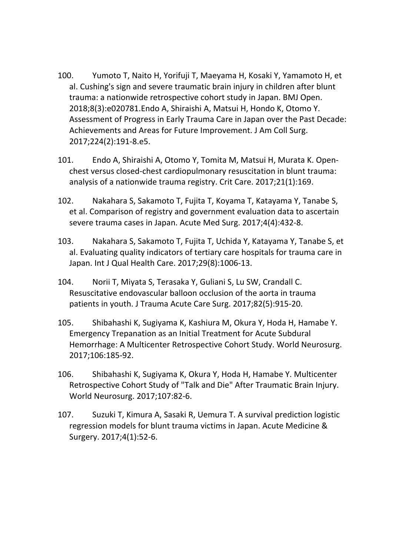- 100. Yumoto T, Naito H, Yorifuji T, Maeyama H, Kosaki Y, Yamamoto H, et al. Cushing's sign and severe traumatic brain injury in children after blunt trauma: a nationwide retrospective cohort study in Japan. BMJ Open. 2018;8(3):e020781.Endo A, Shiraishi A, Matsui H, Hondo K, Otomo Y. Assessment of Progress in Early Trauma Care in Japan over the Past Decade: Achievements and Areas for Future Improvement. J Am Coll Surg. 2017;224(2):191‐8.e5.
- 101. Endo A, Shiraishi A, Otomo Y, Tomita M, Matsui H, Murata K. Open‐ chest versus closed‐chest cardiopulmonary resuscitation in blunt trauma: analysis of a nationwide trauma registry. Crit Care. 2017;21(1):169.
- 102. Nakahara S, Sakamoto T, Fujita T, Koyama T, Katayama Y, Tanabe S, et al. Comparison of registry and government evaluation data to ascertain severe trauma cases in Japan. Acute Med Surg. 2017;4(4):432‐8.
- 103. Nakahara S, Sakamoto T, Fujita T, Uchida Y, Katayama Y, Tanabe S, et al. Evaluating quality indicators of tertiary care hospitals for trauma care in Japan. Int J Qual Health Care. 2017;29(8):1006‐13.
- 104. Norii T, Miyata S, Terasaka Y, Guliani S, Lu SW, Crandall C. Resuscitative endovascular balloon occlusion of the aorta in trauma patients in youth. J Trauma Acute Care Surg. 2017;82(5):915‐20.
- 105. Shibahashi K, Sugiyama K, Kashiura M, Okura Y, Hoda H, Hamabe Y. Emergency Trepanation as an Initial Treatment for Acute Subdural Hemorrhage: A Multicenter Retrospective Cohort Study. World Neurosurg. 2017;106:185‐92.
- 106. Shibahashi K, Sugiyama K, Okura Y, Hoda H, Hamabe Y. Multicenter Retrospective Cohort Study of "Talk and Die" After Traumatic Brain Injury. World Neurosurg. 2017;107:82‐6.
- 107. Suzuki T, Kimura A, Sasaki R, Uemura T. A survival prediction logistic regression models for blunt trauma victims in Japan. Acute Medicine & Surgery. 2017;4(1):52‐6.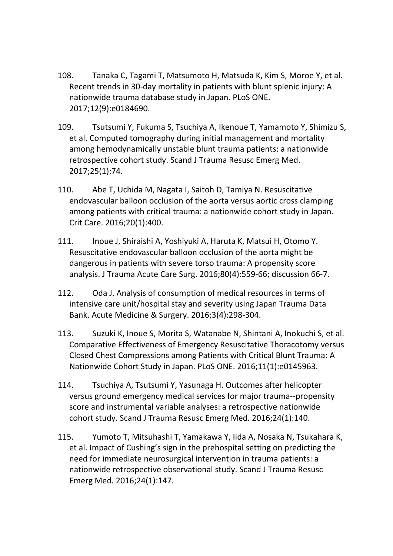- 108. Tanaka C, Tagami T, Matsumoto H, Matsuda K, Kim S, Moroe Y, et al. Recent trends in 30‐day mortality in patients with blunt splenic injury: A nationwide trauma database study in Japan. PLoS ONE. 2017;12(9):e0184690.
- 109. Tsutsumi Y, Fukuma S, Tsuchiya A, Ikenoue T, Yamamoto Y, Shimizu S, et al. Computed tomography during initial management and mortality among hemodynamically unstable blunt trauma patients: a nationwide retrospective cohort study. Scand J Trauma Resusc Emerg Med. 2017;25(1):74.
- 110. Abe T, Uchida M, Nagata I, Saitoh D, Tamiya N. Resuscitative endovascular balloon occlusion of the aorta versus aortic cross clamping among patients with critical trauma: a nationwide cohort study in Japan. Crit Care. 2016;20(1):400.
- 111. Inoue J, Shiraishi A, Yoshiyuki A, Haruta K, Matsui H, Otomo Y. Resuscitative endovascular balloon occlusion of the aorta might be dangerous in patients with severe torso trauma: A propensity score analysis. J Trauma Acute Care Surg. 2016;80(4):559‐66; discussion 66‐7.
- 112. Oda J. Analysis of consumption of medical resources in terms of intensive care unit/hospital stay and severity using Japan Trauma Data Bank. Acute Medicine & Surgery. 2016;3(4):298‐304.
- 113. Suzuki K, Inoue S, Morita S, Watanabe N, Shintani A, Inokuchi S, et al. Comparative Effectiveness of Emergency Resuscitative Thoracotomy versus Closed Chest Compressions among Patients with Critical Blunt Trauma: A Nationwide Cohort Study in Japan. PLoS ONE. 2016;11(1):e0145963.
- 114. Tsuchiya A, Tsutsumi Y, Yasunaga H. Outcomes after helicopter versus ground emergency medical services for major trauma‐‐propensity score and instrumental variable analyses: a retrospective nationwide cohort study. Scand J Trauma Resusc Emerg Med. 2016;24(1):140.
- 115. Yumoto T, Mitsuhashi T, Yamakawa Y, Iida A, Nosaka N, Tsukahara K, et al. Impact of Cushing's sign in the prehospital setting on predicting the need for immediate neurosurgical intervention in trauma patients: a nationwide retrospective observational study. Scand J Trauma Resusc Emerg Med. 2016;24(1):147.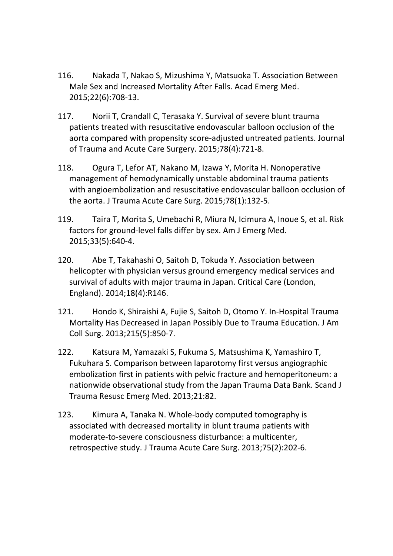- 116. Nakada T, Nakao S, Mizushima Y, Matsuoka T. Association Between Male Sex and Increased Mortality After Falls. Acad Emerg Med. 2015;22(6):708‐13.
- 117. Norii T, Crandall C, Terasaka Y. Survival of severe blunt trauma patients treated with resuscitative endovascular balloon occlusion of the aorta compared with propensity score‐adjusted untreated patients. Journal of Trauma and Acute Care Surgery. 2015;78(4):721‐8.
- 118. Ogura T, Lefor AT, Nakano M, Izawa Y, Morita H. Nonoperative management of hemodynamically unstable abdominal trauma patients with angioembolization and resuscitative endovascular balloon occlusion of the aorta. J Trauma Acute Care Surg. 2015;78(1):132‐5.
- 119. Taira T, Morita S, Umebachi R, Miura N, Icimura A, Inoue S, et al. Risk factors for ground-level falls differ by sex. Am J Emerg Med. 2015;33(5):640‐4.
- 120. Abe T, Takahashi O, Saitoh D, Tokuda Y. Association between helicopter with physician versus ground emergency medical services and survival of adults with major trauma in Japan. Critical Care (London, England). 2014;18(4):R146.
- 121. Hondo K, Shiraishi A, Fujie S, Saitoh D, Otomo Y. In‐Hospital Trauma Mortality Has Decreased in Japan Possibly Due to Trauma Education. J Am Coll Surg. 2013;215(5):850‐7.
- 122. Katsura M, Yamazaki S, Fukuma S, Matsushima K, Yamashiro T, Fukuhara S. Comparison between laparotomy first versus angiographic embolization first in patients with pelvic fracture and hemoperitoneum: a nationwide observational study from the Japan Trauma Data Bank. Scand J Trauma Resusc Emerg Med. 2013;21:82.
- 123. Kimura A, Tanaka N. Whole‐body computed tomography is associated with decreased mortality in blunt trauma patients with moderate‐to‐severe consciousness disturbance: a multicenter, retrospective study. J Trauma Acute Care Surg. 2013;75(2):202‐6.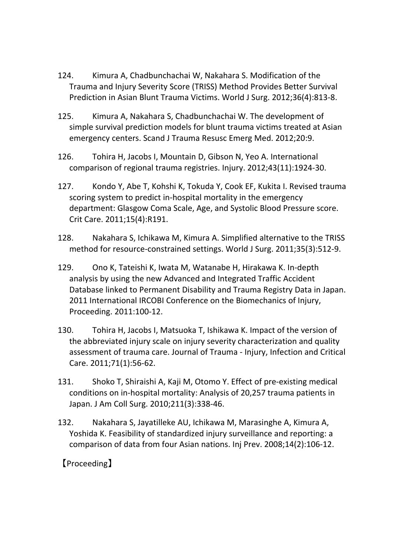- 124. Kimura A, Chadbunchachai W, Nakahara S. Modification of the Trauma and Injury Severity Score (TRISS) Method Provides Better Survival Prediction in Asian Blunt Trauma Victims. World J Surg. 2012;36(4):813‐8.
- 125. Kimura A, Nakahara S, Chadbunchachai W. The development of simple survival prediction models for blunt trauma victims treated at Asian emergency centers. Scand J Trauma Resusc Emerg Med. 2012;20:9.
- 126. Tohira H, Jacobs I, Mountain D, Gibson N, Yeo A. International comparison of regional trauma registries. Injury. 2012;43(11):1924‐30.
- 127. Kondo Y, Abe T, Kohshi K, Tokuda Y, Cook EF, Kukita I. Revised trauma scoring system to predict in-hospital mortality in the emergency department: Glasgow Coma Scale, Age, and Systolic Blood Pressure score. Crit Care. 2011;15(4):R191.
- 128. Nakahara S, Ichikawa M, Kimura A. Simplified alternative to the TRISS method for resource-constrained settings. World J Surg. 2011;35(3):512-9.
- 129. Ono K, Tateishi K, Iwata M, Watanabe H, Hirakawa K. In‐depth analysis by using the new Advanced and Integrated Traffic Accident Database linked to Permanent Disability and Trauma Registry Data in Japan. 2011 International IRCOBI Conference on the Biomechanics of Injury, Proceeding. 2011:100‐12.
- 130. Tohira H, Jacobs I, Matsuoka T, Ishikawa K. Impact of the version of the abbreviated injury scale on injury severity characterization and quality assessment of trauma care. Journal of Trauma ‐ Injury, Infection and Critical Care. 2011;71(1):56‐62.
- 131. Shoko T, Shiraishi A, Kaji M, Otomo Y. Effect of pre‐existing medical conditions on in‐hospital mortality: Analysis of 20,257 trauma patients in Japan. J Am Coll Surg. 2010;211(3):338‐46.
- 132. Nakahara S, Jayatilleke AU, Ichikawa M, Marasinghe A, Kimura A, Yoshida K. Feasibility of standardized injury surveillance and reporting: a comparison of data from four Asian nations. Inj Prev. 2008;14(2):106‐12.

## 【Proceeding】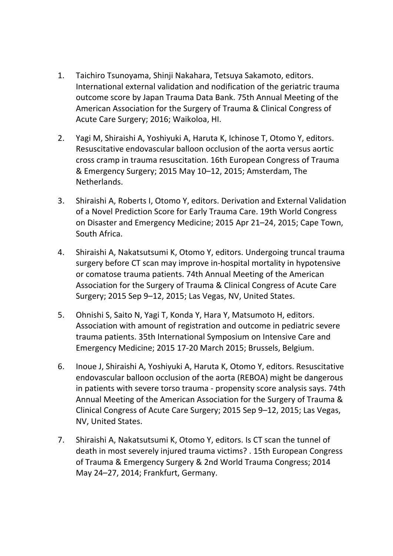- 1. Taichiro Tsunoyama, Shinji Nakahara, Tetsuya Sakamoto, editors. International external validation and nodification of the geriatric trauma outcome score by Japan Trauma Data Bank. 75th Annual Meeting of the American Association for the Surgery of Trauma & Clinical Congress of Acute Care Surgery; 2016; Waikoloa, HI.
- 2. Yagi M, Shiraishi A, Yoshiyuki A, Haruta K, Ichinose T, Otomo Y, editors. Resuscitative endovascular balloon occlusion of the aorta versus aortic cross cramp in trauma resuscitation. 16th European Congress of Trauma & Emergency Surgery; 2015 May 10–12, 2015; Amsterdam, The Netherlands.
- 3. Shiraishi A, Roberts I, Otomo Y, editors. Derivation and External Validation of a Novel Prediction Score for Early Trauma Care. 19th World Congress on Disaster and Emergency Medicine; 2015 Apr 21–24, 2015; Cape Town, South Africa.
- 4. Shiraishi A, Nakatsutsumi K, Otomo Y, editors. Undergoing truncal trauma surgery before CT scan may improve in‐hospital mortality in hypotensive or comatose trauma patients. 74th Annual Meeting of the American Association for the Surgery of Trauma & Clinical Congress of Acute Care Surgery; 2015 Sep 9–12, 2015; Las Vegas, NV, United States.
- 5. Ohnishi S, Saito N, Yagi T, Konda Y, Hara Y, Matsumoto H, editors. Association with amount of registration and outcome in pediatric severe trauma patients. 35th International Symposium on Intensive Care and Emergency Medicine; 2015 17‐20 March 2015; Brussels, Belgium.
- 6. Inoue J, Shiraishi A, Yoshiyuki A, Haruta K, Otomo Y, editors. Resuscitative endovascular balloon occlusion of the aorta (REBOA) might be dangerous in patients with severe torso trauma ‐ propensity score analysis says. 74th Annual Meeting of the American Association for the Surgery of Trauma & Clinical Congress of Acute Care Surgery; 2015 Sep 9–12, 2015; Las Vegas, NV, United States.
- 7. Shiraishi A, Nakatsutsumi K, Otomo Y, editors. Is CT scan the tunnel of death in most severely injured trauma victims? . 15th European Congress of Trauma & Emergency Surgery & 2nd World Trauma Congress; 2014 May 24–27, 2014; Frankfurt, Germany.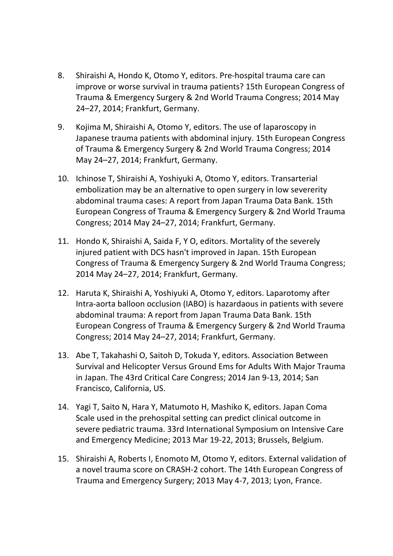- 8. Shiraishi A, Hondo K, Otomo Y, editors. Pre-hospital trauma care can improve or worse survival in trauma patients? 15th European Congress of Trauma & Emergency Surgery & 2nd World Trauma Congress; 2014 May 24–27, 2014; Frankfurt, Germany.
- 9. Kojima M, Shiraishi A, Otomo Y, editors. The use of laparoscopy in Japanese trauma patients with abdominal injury. 15th European Congress of Trauma & Emergency Surgery & 2nd World Trauma Congress; 2014 May 24–27, 2014; Frankfurt, Germany.
- 10. Ichinose T, Shiraishi A, Yoshiyuki A, Otomo Y, editors. Transarterial embolization may be an alternative to open surgery in low severerity abdominal trauma cases: A report from Japan Trauma Data Bank. 15th European Congress of Trauma & Emergency Surgery & 2nd World Trauma Congress; 2014 May 24–27, 2014; Frankfurt, Germany.
- 11. Hondo K, Shiraishi A, Saida F, Y O, editors. Mortality of the severely injured patient with DCS hasn't improved in Japan. 15th European Congress of Trauma & Emergency Surgery & 2nd World Trauma Congress; 2014 May 24–27, 2014; Frankfurt, Germany.
- 12. Haruta K, Shiraishi A, Yoshiyuki A, Otomo Y, editors. Laparotomy after Intra‐aorta balloon occlusion (IABO) is hazardaous in patients with severe abdominal trauma: A report from Japan Trauma Data Bank. 15th European Congress of Trauma & Emergency Surgery & 2nd World Trauma Congress; 2014 May 24–27, 2014; Frankfurt, Germany.
- 13. Abe T, Takahashi O, Saitoh D, Tokuda Y, editors. Association Between Survival and Helicopter Versus Ground Ems for Adults With Major Trauma in Japan. The 43rd Critical Care Congress; 2014 Jan 9‐13, 2014; San Francisco, California, US.
- 14. Yagi T, Saito N, Hara Y, Matumoto H, Mashiko K, editors. Japan Coma Scale used in the prehospital setting can predict clinical outcome in severe pediatric trauma. 33rd International Symposium on Intensive Care and Emergency Medicine; 2013 Mar 19‐22, 2013; Brussels, Belgium.
- 15. Shiraishi A, Roberts I, Enomoto M, Otomo Y, editors. External validation of a novel trauma score on CRASH‐2 cohort. The 14th European Congress of Trauma and Emergency Surgery; 2013 May 4‐7, 2013; Lyon, France.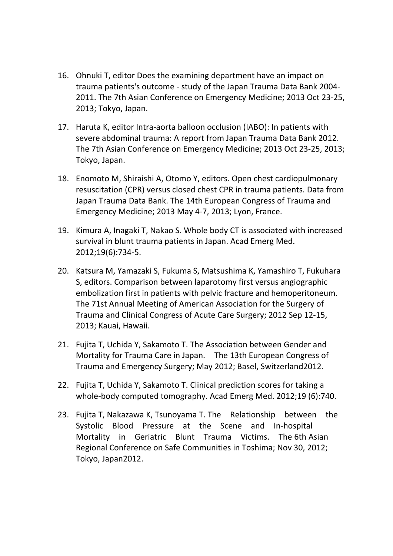- 16. Ohnuki T, editor Does the examining department have an impact on trauma patients's outcome ‐ study of the Japan Trauma Data Bank 2004‐ 2011. The 7th Asian Conference on Emergency Medicine; 2013 Oct 23‐25, 2013; Tokyo, Japan.
- 17. Haruta K, editor Intra‐aorta balloon occlusion (IABO): In patients with severe abdominal trauma: A report from Japan Trauma Data Bank 2012. The 7th Asian Conference on Emergency Medicine; 2013 Oct 23‐25, 2013; Tokyo, Japan.
- 18. Enomoto M, Shiraishi A, Otomo Y, editors. Open chest cardiopulmonary resuscitation (CPR) versus closed chest CPR in trauma patients. Data from Japan Trauma Data Bank. The 14th European Congress of Trauma and Emergency Medicine; 2013 May 4‐7, 2013; Lyon, France.
- 19. Kimura A, Inagaki T, Nakao S. Whole body CT is associated with increased survival in blunt trauma patients in Japan. Acad Emerg Med. 2012;19(6):734‐5.
- 20. Katsura M, Yamazaki S, Fukuma S, Matsushima K, Yamashiro T, Fukuhara S, editors. Comparison between laparotomy first versus angiographic embolization first in patients with pelvic fracture and hemoperitoneum. The 71st Annual Meeting of American Association for the Surgery of Trauma and Clinical Congress of Acute Care Surgery; 2012 Sep 12‐15, 2013; Kauai, Hawaii.
- 21. Fujita T, Uchida Y, Sakamoto T. The Association between Gender and Mortality for Trauma Care in Japan. The 13th European Congress of Trauma and Emergency Surgery; May 2012; Basel, Switzerland2012.
- 22. Fujita T, Uchida Y, Sakamoto T. Clinical prediction scores for taking a whole‐body computed tomography. Acad Emerg Med. 2012;19 (6):740.
- 23. Fujita T, Nakazawa K, Tsunoyama T. The Relationship between the Systolic Blood Pressure at the Scene and In-hospital Mortality in Geriatric Blunt Trauma Victims. The 6th Asian Regional Conference on Safe Communities in Toshima; Nov 30, 2012; Tokyo, Japan2012.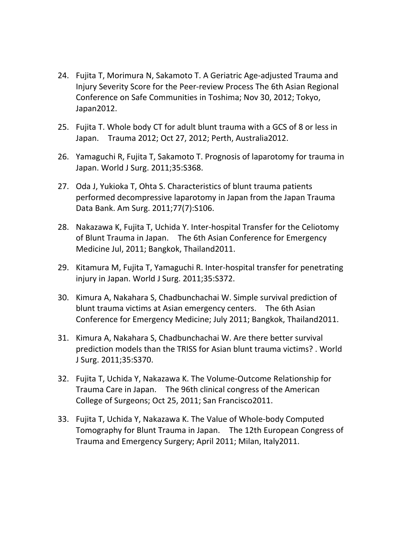- 24. Fujita T, Morimura N, Sakamoto T. A Geriatric Age‐adjusted Trauma and Injury Severity Score for the Peer‐review Process The 6th Asian Regional Conference on Safe Communities in Toshima; Nov 30, 2012; Tokyo, Japan2012.
- 25. Fujita T. Whole body CT for adult blunt trauma with a GCS of 8 or less in Japan. Trauma 2012; Oct 27, 2012; Perth, Australia2012.
- 26. Yamaguchi R, Fujita T, Sakamoto T. Prognosis of laparotomy for trauma in Japan. World J Surg. 2011;35:S368.
- 27. Oda J, Yukioka T, Ohta S. Characteristics of blunt trauma patients performed decompressive laparotomy in Japan from the Japan Trauma Data Bank. Am Surg. 2011;77(7):S106.
- 28. Nakazawa K, Fujita T, Uchida Y. Inter‐hospital Transfer for the Celiotomy of Blunt Trauma in Japan. The 6th Asian Conference for Emergency Medicine Jul, 2011; Bangkok, Thailand2011.
- 29. Kitamura M, Fujita T, Yamaguchi R. Inter-hospital transfer for penetrating injury in Japan. World J Surg. 2011;35:S372.
- 30. Kimura A, Nakahara S, Chadbunchachai W. Simple survival prediction of blunt trauma victims at Asian emergency centers. The 6th Asian Conference for Emergency Medicine; July 2011; Bangkok, Thailand2011.
- 31. Kimura A, Nakahara S, Chadbunchachai W. Are there better survival prediction models than the TRISS for Asian blunt trauma victims? . World J Surg. 2011;35:S370.
- 32. Fujita T, Uchida Y, Nakazawa K. The Volume‐Outcome Relationship for Trauma Care in Japan. The 96th clinical congress of the American College of Surgeons; Oct 25, 2011; San Francisco2011.
- 33. Fujita T, Uchida Y, Nakazawa K. The Value of Whole‐body Computed Tomography for Blunt Trauma in Japan. The 12th European Congress of Trauma and Emergency Surgery; April 2011; Milan, Italy2011.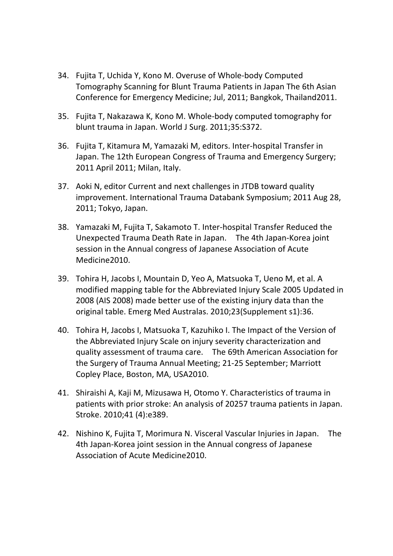- 34. Fujita T, Uchida Y, Kono M. Overuse of Whole‐body Computed Tomography Scanning for Blunt Trauma Patients in Japan The 6th Asian Conference for Emergency Medicine; Jul, 2011; Bangkok, Thailand2011.
- 35. Fujita T, Nakazawa K, Kono M. Whole‐body computed tomography for blunt trauma in Japan. World J Surg. 2011;35:S372.
- 36. Fujita T, Kitamura M, Yamazaki M, editors. Inter‐hospital Transfer in Japan. The 12th European Congress of Trauma and Emergency Surgery; 2011 April 2011; Milan, Italy.
- 37. Aoki N, editor Current and next challenges in JTDB toward quality improvement. International Trauma Databank Symposium; 2011 Aug 28, 2011; Tokyo, Japan.
- 38. Yamazaki M, Fujita T, Sakamoto T. Inter‐hospital Transfer Reduced the Unexpected Trauma Death Rate in Japan. The 4th Japan‐Korea joint session in the Annual congress of Japanese Association of Acute Medicine2010.
- 39. Tohira H, Jacobs I, Mountain D, Yeo A, Matsuoka T, Ueno M, et al. A modified mapping table for the Abbreviated Injury Scale 2005 Updated in 2008 (AIS 2008) made better use of the existing injury data than the original table. Emerg Med Australas. 2010;23(Supplement s1):36.
- 40. Tohira H, Jacobs I, Matsuoka T, Kazuhiko I. The Impact of the Version of the Abbreviated Injury Scale on injury severity characterization and quality assessment of trauma care. The 69th American Association for the Surgery of Trauma Annual Meeting; 21‐25 September; Marriott Copley Place, Boston, MA, USA2010.
- 41. Shiraishi A, Kaji M, Mizusawa H, Otomo Y. Characteristics of trauma in patients with prior stroke: An analysis of 20257 trauma patients in Japan. Stroke. 2010;41 (4):e389.
- 42. Nishino K, Fujita T, Morimura N. Visceral Vascular Injuries in Japan. The 4th Japan‐Korea joint session in the Annual congress of Japanese Association of Acute Medicine2010.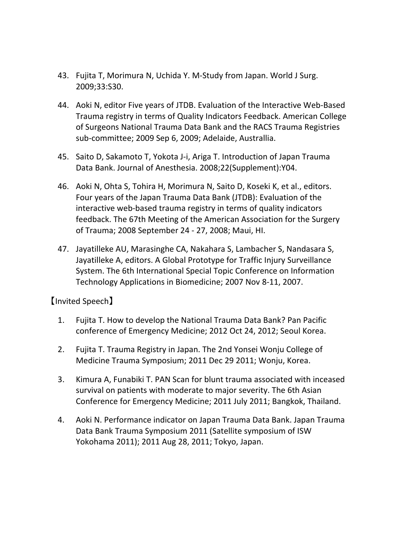- 43. Fujita T, Morimura N, Uchida Y. M‐Study from Japan. World J Surg. 2009;33:S30.
- 44. Aoki N, editor Five years of JTDB. Evaluation of the Interactive Web-Based Trauma registry in terms of Quality Indicators Feedback. American College of Surgeons National Trauma Data Bank and the RACS Trauma Registries sub‐committee; 2009 Sep 6, 2009; Adelaide, Australlia.
- 45. Saito D, Sakamoto T, Yokota J-i, Ariga T. Introduction of Japan Trauma Data Bank. Journal of Anesthesia. 2008;22(Supplement):Y04.
- 46. Aoki N, Ohta S, Tohira H, Morimura N, Saito D, Koseki K, et al., editors. Four years of the Japan Trauma Data Bank (JTDB): Evaluation of the interactive web‐based trauma registry in terms of quality indicators feedback. The 67th Meeting of the American Association for the Surgery of Trauma; 2008 September 24 ‐ 27, 2008; Maui, HI.
- 47. Jayatilleke AU, Marasinghe CA, Nakahara S, Lambacher S, Nandasara S, Jayatilleke A, editors. A Global Prototype for Traffic Injury Surveillance System. The 6th International Special Topic Conference on Information Technology Applications in Biomedicine; 2007 Nov 8‐11, 2007.

## 【Invited Speech】

- 1. Fujita T. How to develop the National Trauma Data Bank? Pan Pacific conference of Emergency Medicine; 2012 Oct 24, 2012; Seoul Korea.
- 2. Fujita T. Trauma Registry in Japan. The 2nd Yonsei Wonju College of Medicine Trauma Symposium; 2011 Dec 29 2011; Wonju, Korea.
- 3. Kimura A, Funabiki T. PAN Scan for blunt trauma associated with inceased survival on patients with moderate to major severity. The 6th Asian Conference for Emergency Medicine; 2011 July 2011; Bangkok, Thailand.
- 4. Aoki N. Performance indicator on Japan Trauma Data Bank. Japan Trauma Data Bank Trauma Symposium 2011 (Satellite symposium of ISW Yokohama 2011); 2011 Aug 28, 2011; Tokyo, Japan.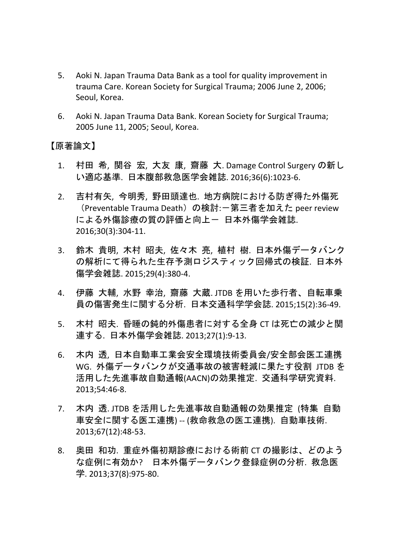- 5. Aoki N. Japan Trauma Data Bank as a tool for quality improvement in trauma Care. Korean Society for Surgical Trauma; 2006 June 2, 2006; Seoul, Korea.
- 6. Aoki N. Japan Trauma Data Bank. Korean Society for Surgical Trauma; 2005 June 11, 2005; Seoul, Korea.

## 【原著論文】

- 1. 村田 希, 関谷 宏, 大友 康, 齋藤 大. Damage Control Surgery の新し い適応基準. 日本腹部救急医学会雑誌. 2016;36(6):1023‐6.
- 2. 吉村有矢, 今明秀, 野田頭達也. 地方病院における防ぎ得た外傷死 (Preventable Trauma Death)の検討:一第三者を加えた peer review による外傷診療の質の評価と向上- 日本外傷学会雑誌. 2016;30(3):304‐11.
- 3. 鈴木 貴明, 木村 昭夫, 佐々木 亮, 植村 樹. 日本外傷データバンク の解析にて得られた生存予測ロジスティック回帰式の検証. 日本外 傷学会雑誌. 2015;29(4):380‐4.
- 4. 伊藤 大輔, 水野 幸治, 齋藤 大蔵. JTDB を用いた歩行者、自転車乗 員の傷害発生に関する分析. 日本交通科学学会誌. 2015;15(2):36‐49.
- 5. 木村 昭夫. 昏睡の鈍的外傷患者に対する全身 CT は死亡の減少と関 連する. 日本外傷学会雑誌. 2013;27(1):9‐13.
- 6. 木内 透, 日本自動車工業会安全環境技術委員会/安全部会医工連携 WG. 外傷データバンクが交通事故の被害軽減に果たす役割 JTDB を 活用した先進事故自動通報(AACN)の効果推定. 交通科学研究資料. 2013;54:46‐8.
- 7. 木内 透. JTDB を活用した先進事故自動通報の効果推定 (特集 自動 車安全に関する医工連携) ‐‐ (救命救急の医工連携). 自動車技術. 2013;67(12):48‐53.
- 8. 奥田 和功. 重症外傷初期診療における術前 CT の撮影は、どのよう な症例に有効か? 日本外傷データバンク登録症例の分析. 救急医 学. 2013;37(8):975‐80.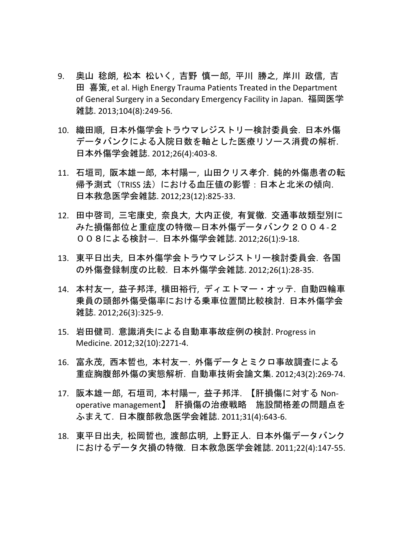- 9. 奥山 稔朗, 松本 松いく, 吉野 慎一郎, 平川 勝之, 岸川 政信, 吉 田 喜策, et al. High Energy Trauma Patients Treated in the Department of General Surgery in a Secondary Emergency Facility in Japan. 福岡医学 雑誌. 2013;104(8):249‐56.
- 10. 織田順, 日本外傷学会トラウマレジストリー検討委員会. 日本外傷 データバンクによる入院日数を軸とした医療リソース消費の解析. 日本外傷学会雑誌. 2012;26(4):403‐8.
- 11. 石垣司, 阪本雄一郎, 本村陽一, 山田クリス孝介. 鈍的外傷患者の転 帰予測式 (TRISS 法) における血圧値の影響: 日本と北米の傾向. 日本救急医学会雑誌. 2012;23(12):825‐33.
- 12. 田中啓司, 三宅康史, 奈良大, 大内正俊, 有賀徹. 交通事故類型別に みた損傷部位と重症度の特徴—日本外傷データバンク2004‐2 008による検討—. 日本外傷学会雑誌. 2012;26(1):9‐18.
- 13. 東平日出夫, 日本外傷学会トラウマレジストリー検討委員会. 各国 の外傷登録制度の比較. 日本外傷学会雑誌. 2012;26(1):28‐35.
- 14. 本村友一, 益子邦洋, 横田裕行, ディエトマー・オッテ. 自動四輪車 乗員の頭部外傷受傷率における乗車位置間比較検討. 日本外傷学会 雑誌. 2012;26(3):325‐9.
- 15. 岩田健司. 意識消失による自動車事故症例の検討. Progress in Medicine. 2012;32(10):2271‐4.
- 16. 富永茂, 西本哲也, 本村友一. 外傷データとミクロ事故調査による 重症胸腹部外傷の実態解析. 自動車技術会論文集. 2012;43(2):269‐74.
- 17. 阪本雄一郎, 石垣司, 本村陽一, 益子邦洋. 【肝損傷に対する Non‐ operative management】 肝損傷の治療戦略 施設間格差の問題点を ふまえて. 日本腹部救急医学会雑誌. 2011;31(4):643‐6.
- 18. 東平日出夫, 松岡哲也, 渡部広明, 上野正人. 日本外傷データバンク におけるデータ欠損の特徴. 日本救急医学会雑誌. 2011;22(4):147‐55.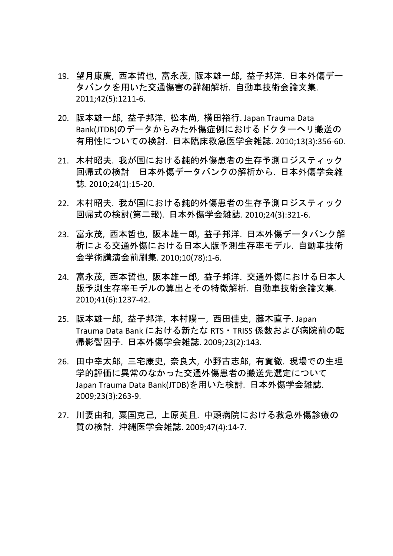- 19. 望月康廣, 西本哲也, 富永茂, 阪本雄一郎, 益子邦洋. 日本外傷デー タバンクを用いた交通傷害の詳細解析. 自動車技術会論文集. 2011;42(5):1211‐6.
- 20. 阪本雄一郎, 益子邦洋, 松本尚, 横田裕行. Japan Trauma Data Bank(JTDB)のデータからみた外傷症例におけるドクターヘリ搬送の 有用性についての検討. 日本臨床救急医学会雑誌. 2010;13(3):356‐60.
- 21. 木村昭夫. 我が国における鈍的外傷患者の生存予測ロジスティック 回帰式の検討 日本外傷データバンクの解析から. 日本外傷学会雑 誌. 2010;24(1):15‐20.
- 22. 木村昭夫. 我が国における鈍的外傷患者の生存予測ロジスティック 回帰式の検討(第二報). 日本外傷学会雑誌. 2010;24(3):321‐6.
- 23. 富永茂, 西本哲也, 阪本雄一郎, 益子邦洋. 日本外傷データバンク解 析による交通外傷における日本人版予測生存率モデル. 自動車技術 会学術講演会前刷集. 2010;10(78):1‐6.
- 24. 富永茂, 西本哲也, 阪本雄一郎, 益子邦洋. 交通外傷における日本人 版予測生存率モデルの算出とその特徴解析. 自動車技術会論文集. 2010;41(6):1237‐42.
- 25. 阪本雄一郎, 益子邦洋, 本村陽一, 西田佳史, 藤木直子. Japan Trauma Data Bank における新たな RTS・TRISS 係数および病院前の転 帰影響因子. 日本外傷学会雑誌. 2009;23(2):143.
- 26. 田中幸太郎, 三宅康史, 奈良大, 小野古志郎, 有賀徹. 現場での生理 学的評価に異常のなかった交通外傷患者の搬送先選定について Japan Trauma Data Bank(JTDB)を用いた検討. 日本外傷学会雑誌. 2009;23(3):263‐9.
- 27. 川妻由和, 粟国克己, 上原英且. 中頭病院における救急外傷診療の 質の検討. 沖縄医学会雑誌. 2009;47(4):14‐7.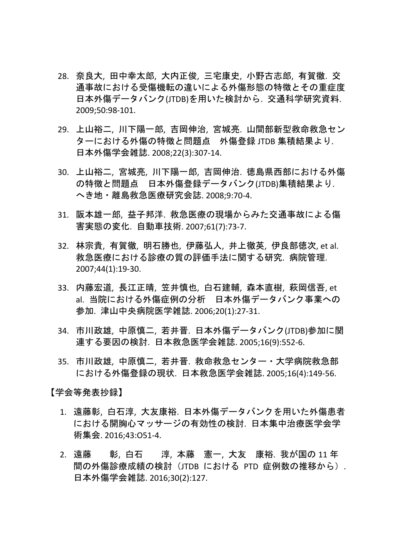- 28. 奈良大, 田中幸太郎, 大内正俊, 三宅康史, 小野古志郎, 有賀徹. 交 通事故における受傷機転の違いによる外傷形態の特徴とその重症度 日本外傷データバンク(JTDB)を用いた検討から. 交通科学研究資料. 2009;50:98‐101.
- 29. 上山裕二, 川下陽一郎, 吉岡伸治, 宮城亮. 山間部新型救命救急セン ターにおける外傷の特徴と問題点 外傷登録 JTDB 集積結果より. 日本外傷学会雑誌. 2008;22(3):307‐14.
- 30. 上山裕二, 宮城亮, 川下陽一郎, 吉岡伸治. 徳島県西部における外傷 の特徴と問題点 日本外傷登録データバンク(JTDB)集積結果より. へき地・離島救急医療研究会誌. 2008;9:70‐4.
- 31. 阪本雄一郎, 益子邦洋. 救急医療の現場からみた交通事故による傷 害実態の変化. 自動車技術. 2007;61(7):73‐7.
- 32. 林宗貴, 有賀徹, 明石勝也, 伊藤弘人, 井上徹英, 伊良部徳次, et al. 救急医療における診療の質の評価手法に関する研究. 病院管理. 2007;44(1):19‐30.
- 33. 内藤宏道, 長江正晴, 笠井慎也, 白石建輔, 森本直樹, 萩岡信吾, et al. 当院における外傷症例の分析 日本外傷データバンク事業への 参加. 津山中央病院医学雑誌. 2006;20(1):27‐31.
- 34. 市川政雄, 中原慎二, 若井晋. 日本外傷データバンク(JTDB)参加に関 連する要因の検討. 日本救急医学会雑誌. 2005;16(9):552‐6.
- 35. 市川政雄, 中原慎二, 若井晋. 救命救急センター・大学病院救急部 における外傷登録の現状. 日本救急医学会雑誌. 2005;16(4):149‐56.

【学会等発表抄録】

- 1. 遠藤彰, 白石淳, 大友康裕. 日本外傷データバンクを用いた外傷患者 における開胸心マッサージの有効性の検討. 日本集中治療医学会学 術集会. 2016;43:O51‐4.
- 2. 遠藤 彰, 白石 淳, 本藤 憲一, 大友 康裕. 我が国の 11 年 間の外傷診療成績の検討(JTDB における PTD 症例数の推移から). 日本外傷学会雑誌. 2016;30(2):127.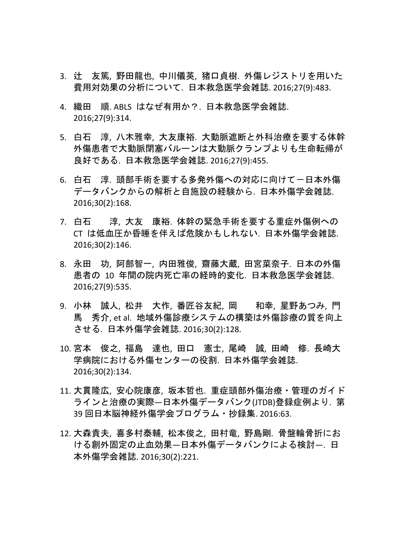- 3. 辻 友篤, 野田龍也, 中川儀英, 猪口貞樹. 外傷レジストリを用いた 費用対効果の分析について. 日本救急医学会雑誌. 2016;27(9):483.
- 4. 織田 順. ABLS はなぜ有用か?. 日本救急医学会雑誌. 2016;27(9):314.
- 5. 白石 淳, 八木雅幸, 大友康裕. 大動脈遮断と外科治療を要する体幹 外傷患者で大動脈閉塞バルーンは大動脈クランプよりも生命転帰が 良好である. 日本救急医学会雑誌. 2016;27(9):455.
- 6. 白石 淳. 頭部手術を要する多発外傷への対応に向けて一日本外傷 データバンクからの解析と自施設の経験から. 日本外傷学会雑誌. 2016;30(2):168.
- 7. 白石 淳, 大友 康裕. 体幹の緊急手術を要する重症外傷例への CT は低血圧か昏睡を伴えば危険かもしれない. 日本外傷学会雑誌. 2016;30(2):146.
- 8. 永田 功, 阿部智一, 内田雅俊, 齋藤大蔵, 田宮菜奈子. 日本の外傷 患者の 10 年間の院内死亡率の経時的変化. 日本救急医学会雑誌. 2016;27(9):535.
- 9. 小林 誠人, 松井 大作, 番匠谷友紀, 岡 和幸, 星野あつみ, 門 馬 秀介, et al. 地域外傷診療システムの構築は外傷診療の質を向上 させる. 日本外傷学会雑誌. 2016;30(2):128.
- 10. 宮本 俊之, 福島 達也, 田口 憲士, 尾崎 誠, 田崎 修. 長崎大 学病院における外傷センターの役割. 日本外傷学会雑誌. 2016;30(2):134.
- 11. 大貫隆広, 安心院康彦, 坂本哲也. 重症頭部外傷治療・管理のガイド ラインと治療の実際―日本外傷データバンク(JTDB)登録症例より. 第 39 回日本脳神経外傷学会プログラム・抄録集. 2016:63.
- 12. 大森貴夫, 喜多村泰輔, 松本俊之, 田村竜, 野島剛. 骨盤輪骨折にお ける創外固定の止血効果―日本外傷データバンクによる検討―. 日 本外傷学会雑誌. 2016;30(2):221.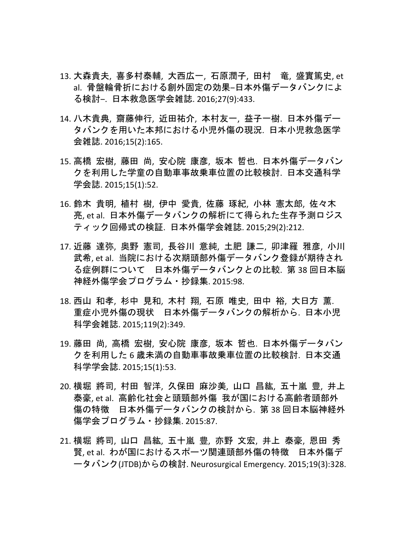- 13. 大森貴夫, 喜多村泰輔, 大西広一, 石原潤子, 田村 竜, 盛實篤史, et al. 骨盤輪骨折における創外固定の効果-日本外傷データバンクによ る検討‒. 日本救急医学会雑誌. 2016;27(9):433.
- 14. 八木貴典, 齋藤伸行, 近田祐介, 本村友一, 益子一樹. 日本外傷デー タバンクを用いた本邦における小児外傷の現況. 日本小児救急医学 会雑誌. 2016;15(2):165.
- 15. 高橋 宏樹, 藤田 尚, 安心院 康彦, 坂本 哲也. 日本外傷データバン クを利用した学童の自動車事故乗車位置の比較検討. 日本交通科学 学会誌. 2015;15(1):52.
- 16. 鈴木 貴明, 植村 樹, 伊中 愛貴, 佐藤 琢紀, 小林 憲太郎, 佐々木 亮, et al. 日本外傷データバンクの解析にて得られた生存予測ロジス ティック回帰式の検証. 日本外傷学会雑誌. 2015;29(2):212.
- 17. 近藤 達弥, 奥野 憲司, 長谷川 意純, 土肥 謙二, 卯津羅 雅彦, 小川 武希, et al. 当院における次期頭部外傷データバンク登録が期待され る症例群について 日本外傷データバンクとの比較. 第 38 回日本脳 神経外傷学会プログラム・抄録集. 2015:98.
- 18. 西山 和孝, 杉中 見和, 木村 翔, 石原 唯史, 田中 裕, 大日方 薫. 重症小児外傷の現状 日本外傷データバンクの解析から. 日本小児 科学会雑誌. 2015;119(2):349.
- 19. 藤田 尚, 高橋 宏樹, 安心院 康彦, 坂本 哲也. 日本外傷データバン クを利用した 6 歳未満の自動車事故乗車位置の比較検討. 日本交通 科学学会誌. 2015;15(1):53.
- 20. 横堀 將司, 村田 智洋, 久保田 麻沙美, 山口 昌紘, 五十嵐 豊, 井上 泰豪, et al. 高齢化社会と頭頸部外傷 我が国における高齢者頭部外 傷の特徴 日本外傷データバンクの検討から. 第 38 回日本脳神経外 傷学会プログラム・抄録集. 2015:87.
- 21. 横堀 將司, 山口 昌紘, 五十嵐 豊, 亦野 文宏, 井上 泰豪, 恩田 秀 賢, et al. わが国におけるスポーツ関連頭部外傷の特徴 日本外傷デ ータバンク(JTDB)からの検討. Neurosurgical Emergency. 2015;19(3):328.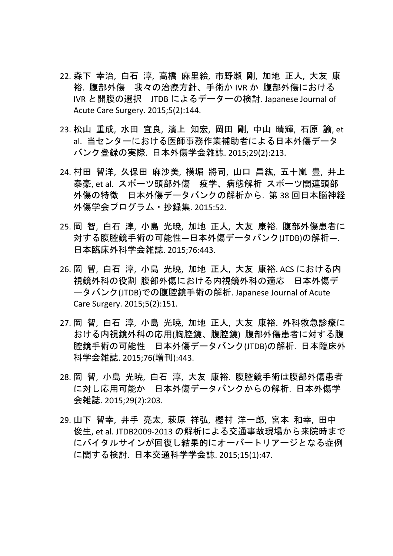- 22. 森下 幸治, 白石 淳, 高橋 麻里絵, 市野瀬 剛, 加地 正人, 大友 康 裕. 腹部外傷 我々の治療方針、手術か IVR か 腹部外傷における IVR と開腹の選択 JTDB によるデーターの検討. Japanese Journal of Acute Care Surgery. 2015;5(2):144.
- 23. 松山 重成, 水田 宜良, 濱上 知宏, 岡田 剛, 中山 晴輝, 石原 諭, et al. 当センターにおける医師事務作業補助者による日本外傷データ バンク登録の実際. 日本外傷学会雑誌. 2015;29(2):213.
- 24. 村田 智洋, 久保田 麻沙美, 横堀 將司, 山口 昌紘, 五十嵐 豊, 井上 泰豪, et al. スポーツ頭部外傷 疫学、病態解析 スポーツ関連頭部 外傷の特徴 日本外傷データバンクの解析から. 第 38 回日本脳神経 外傷学会プログラム・抄録集. 2015:52.
- 25. 岡 智, 白石 淳, 小島 光暁, 加地 正人, 大友 康裕. 腹部外傷患者に 対する腹腔鏡手術の可能性―日本外傷データバンク(JTDB)の解析―. 日本臨床外科学会雑誌. 2015;76:443.
- 26. 岡 智, 白石 淳, 小島 光暁, 加地 正人, 大友 康裕. ACS における内 視鏡外科の役割 腹部外傷における内視鏡外科の適応 日本外傷デ ータバンク(JTDB)での腹腔鏡手術の解析. Japanese Journal of Acute Care Surgery. 2015;5(2):151.
- 27. 岡 智, 白石 淳, 小島 光暁, 加地 正人, 大友 康裕, 外科救急診療に おける内視鏡外科の応用(胸腔鏡、腹腔鏡) 腹部外傷患者に対する腹 腔鏡手術の可能性 日本外傷データバンク(JTDB)の解析. 日本臨床外 科学会雑誌. 2015;76(増刊):443.
- 28. 岡 智, 小島 光暁, 白石 淳, 大友 康裕. 腹腔鏡手術は腹部外傷患者 に対し応用可能か 日本外傷データバンクからの解析. 日本外傷学 会雑誌. 2015;29(2):203.
- 29. 山下 智幸, 井手 亮太, 萩原 祥弘, 樫村 洋一郎, 宮本 和幸, 田中 俊生, et al. JTDB2009‐2013 の解析による交通事故現場から来院時まで にバイタルサインが回復し結果的にオーバートリアージとなる症例 に関する検討. 日本交通科学学会誌. 2015;15(1):47.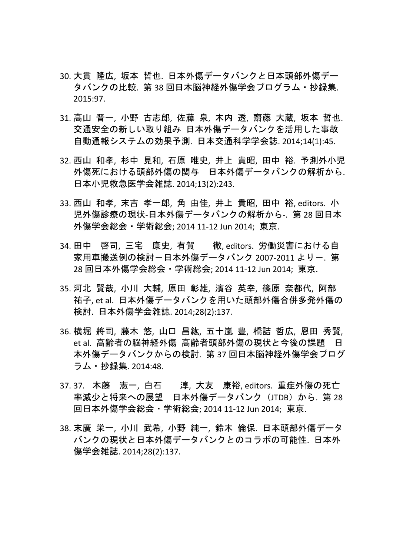- 30. 大貫 隆広, 坂本 哲也. 日本外傷データバンクと日本頭部外傷デー タバンクの比較. 第 38 回日本脳神経外傷学会プログラム・抄録集. 2015:97.
- 31. 高山 晋一, 小野 古志郎, 佐藤 泉, 木内 透, 齋藤 大蔵, 坂本 哲也. 交通安全の新しい取り組み 日本外傷データバンクを活用した事故 自動通報システムの効果予測. 日本交通科学学会誌. 2014;14(1):45.
- 32. 西山 和孝, 杉中 見和, 石原 唯史, 井上 貴昭, 田中 裕. 予測外小児 外傷死における頭部外傷の関与 日本外傷データバンクの解析から. 日本小児救急医学会雑誌. 2014;13(2):243.
- 33. 西山 和孝, 末吉 孝一郎, 角 由佳, 井上 貴昭, 田中 裕, editors. 小 児外傷診療の現状‐日本外傷データバンクの解析から‐. 第 28 回日本 外傷学会総会・学術総会; 2014 11‐12 Jun 2014; 東京.
- 34. 田中 啓司, 三宅 康史, 有賀 徹, editors. 労働災害における自 家用車搬送例の検討ー日本外傷データバンク 2007-2011 よりー. 第 28 回日本外傷学会総会・学術総会; 2014 11‐12 Jun 2014; 東京.
- 35. 河北 賢哉, 小川 大輔, 原田 彰雄, 濱谷 英幸, 篠原 奈都代, 阿部 祐子, et al. 日本外傷データバンクを用いた頭部外傷合併多発外傷の 検討. 日本外傷学会雑誌. 2014;28(2):137.
- 36. 横堀 將司, 藤木 悠, 山口 昌紘, 五十嵐 豊, 橋詰 哲広, 恩田 秀賢, et al. 高齢者の脳神経外傷 高齢者頭部外傷の現状と今後の課題 日 本外傷データバンクからの検討. 第 37 回日本脳神経外傷学会プログ ラム・抄録集. 2014:48.
- 37. 37. 本藤 憲一, 白石 淳, 大友 康裕, editors. 重症外傷の死亡 率減少と将来への展望 日本外傷データバンク (JTDB) から. 第 28 回日本外傷学会総会・学術総会; 2014 11‐12 Jun 2014; 東京.
- 38. 末廣 栄一, 小川 武希, 小野 純一, 鈴木 倫保. 日本頭部外傷データ バンクの現状と日本外傷データバンクとのコラボの可能性. 日本外 傷学会雑誌. 2014;28(2):137.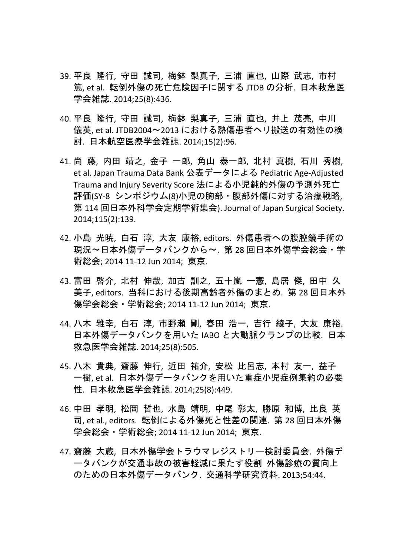- 39. 平良 隆行, 守田 誠司, 梅鉢 梨真子, 三浦 直也, 山際 武志, 市村 篤, et al. 転倒外傷の死亡危険因子に関する JTDB の分析. 日本救急医 学会雑誌. 2014;25(8):436.
- 40. 平良 隆行, 守田 誠司, 梅鉢 梨真子, 三浦 直也, 井上 茂亮, 中川 儀英, et al. JTDB2004〜2013 における熱傷患者ヘリ搬送の有効性の検 討. 日本航空医療学会雑誌. 2014;15(2):96.
- 41. 尚 藤, 内田 靖之, 金子 一郎, 角山 泰一郎, 北村 真樹, 石川 秀樹, et al. Japan Trauma Data Bank 公表データによる Pediatric Age-Adjusted Trauma and Injury Severity Score 法による小児鈍的外傷の予測外死亡 評価(SY‐8 シンポジウム(8)小児の胸部・腹部外傷に対する治療戦略, 第 114 回日本外科学会定期学術集会). Journal of Japan Surgical Society. 2014;115(2):139.
- 42. 小島 光暁, 白石 淳, 大友 康裕, editors. 外傷患者への腹腔鏡手術の 現況〜日本外傷データバンクから〜. 第 28 回日本外傷学会総会・学 術総会; 2014 11‐12 Jun 2014; 東京.
- 43. 富田 啓介, 北村 伸哉, 加古 訓之, 五十嵐 ー憲, 島居 傑, 田中 久 美子, editors. 当科における後期高齢者外傷のまとめ. 第 28 回日本外 傷学会総会・学術総会; 2014 11‐12 Jun 2014; 東京.
- 44. 八木 雅幸, 白石 淳, 市野瀬 剛, 春田 浩一, 吉行 綾子, 大友 康裕. 日本外傷データバンクを用いた IABO と大動脈クランプの比較. 日本 救急医学会雑誌. 2014;25(8):505.
- 45. 八木 貴典, 齋藤 伸行, 近田 祐介, 安松 比呂志, 本村 友一, 益子 一樹, et al. 日本外傷データバンクを用いた重症小児症例集約の必要 性. 日本救急医学会雑誌. 2014;25(8):449.
- 46. 中田 孝明, 松岡 哲也, 水島 靖明, 中尾 彰太, 勝原 和博, 比良 英 司, et al., editors. 転倒による外傷死と性差の関連. 第 28 回日本外傷 学会総会・学術総会; 2014 11‐12 Jun 2014; 東京.
- 47. 齋藤 大蔵, 日本外傷学会トラウマレジストリー検討委員会. 外傷デ ータバンクが交通事故の被害軽減に果たす役割 外傷診療の質向上 のための日本外傷データバンク. 交通科学研究資料. 2013;54:44.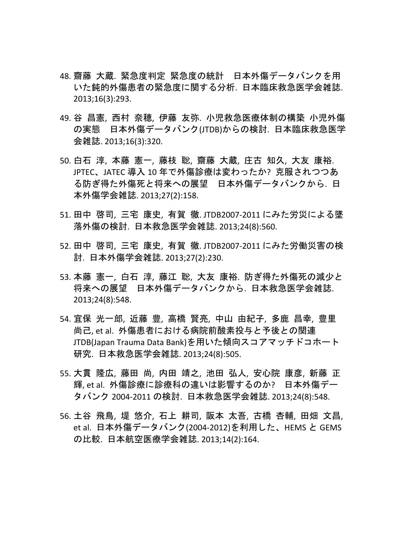- 48. 齋藤 大蔵. 緊急度判定 緊急度の統計 日本外傷データバンクを用 いた鈍的外傷患者の緊急度に関する分析. 日本臨床救急医学会雑誌. 2013;16(3):293.
- 49. 谷 昌憲, 西村 奈穂, 伊藤 友弥. 小児救急医療体制の構築 小児外傷 の実態 日本外傷データバンク(JTDB)からの検討. 日本臨床救急医学 会雑誌. 2013;16(3):320.
- 50. 白石 淳, 本藤 憲一, 藤枝 聡, 齋藤 大蔵, 庄古 知久, 大友 康裕. JPTEC、JATEC 導入 10 年で外傷診療は変わったか? 克服されつつあ る防ぎ得た外傷死と将来への展望 日本外傷データバンクから. 日 本外傷学会雑誌. 2013;27(2):158.
- 51. 田中 啓司, 三宅 康史, 有賀 徹. JTDB2007‐2011 にみた労災による墜 落外傷の検討. 日本救急医学会雑誌. 2013;24(8):560.
- 52. 田中 啓司, 三宅 康史, 有賀 徹. JTDB2007‐2011 にみた労働災害の検 討. 日本外傷学会雑誌. 2013;27(2):230.
- 53. 本藤 憲一, 白石 淳, 藤江 聡, 大友 康裕. 防ぎ得た外傷死の減少と 将来への展望 日本外傷データバンクから. 日本救急医学会雑誌. 2013;24(8):548.
- 54. 宜保 光一郎, 近藤 豊, 高橋 賢亮, 中山 由紀子, 多鹿 昌幸, 豊里 尚己, et al. 外傷患者における病院前酸素投与と予後との関連 JTDB(Japan Trauma Data Bank)を用いた傾向スコアマッチドコホート 研究. 日本救急医学会雑誌. 2013;24(8):505.
- 55. 大貫 隆広, 藤田 尚, 内田 靖之, 池田 弘人, 安心院 康彦, 新藤 正 輝, et al. 外傷診療に診療科の違いは影響するのか? 日本外傷デー タバンク 2004‐2011 の検討. 日本救急医学会雑誌. 2013;24(8):548.
- 56. 土谷 飛鳥, 堤 悠介, 石上 耕司, 阪本 太吾, 古橋 杏輔, 田畑 文昌, et al. 日本外傷データバンク(2004‐2012)を利用した、HEMS と GEMS の比較. 日本航空医療学会雑誌. 2013;14(2):164.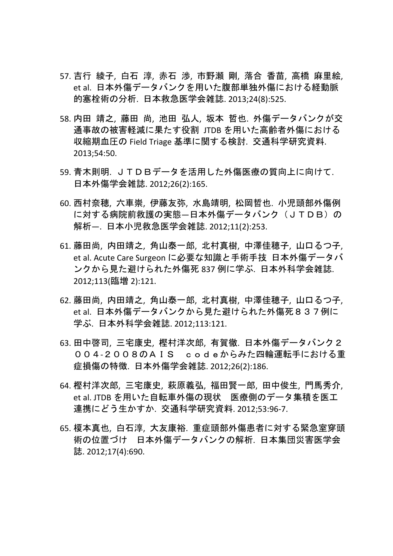- 57. 吉行 綾子, 白石 淳, 赤石 渉, 市野瀬 剛, 落合 香苗, 高橋 麻里絵, et al. 日本外傷データバンクを用いた腹部単独外傷における経動脈 的塞栓術の分析. 日本救急医学会雑誌. 2013;24(8):525.
- 58. 内田 靖之, 藤田 尚, 池田 弘人, 坂本 哲也. 外傷データバンクが交 通事故の被害軽減に果たす役割 JTDB を用いた高齢者外傷における 収縮期血圧の Field Triage 基準に関する検討. 交通科学研究資料. 2013;54:50.
- 59. 青木則明. JTDBデータを活用した外傷医療の質向上に向けて. 日本外傷学会雑誌. 2012;26(2):165.
- 60. 西村奈穂, 六車崇, 伊藤友弥, 水島靖明, 松岡哲也. 小児頭部外傷例 に対する病院前救護の実態–日本外傷データバンク(JTDB)の 解析—. 日本小児救急医学会雑誌. 2012;11(2):253.
- 61. 藤田尚, 内田靖之, 角山泰一郎, 北村真樹, 中澤佳穂子, 山口るつ子, et al. Acute Care Surgeon に必要な知識と手術手技 日本外傷データバ ンクから見た避けられた外傷死 837 例に学ぶ. 日本外科学会雑誌. 2012;113(臨増 2):121.
- 62. 藤田尚, 内田靖之, 角山泰一郎, 北村真樹, 中澤佳穂子, 山口るつ子, et al. 日本外傷データバンクから見た避けられた外傷死837例に 学ぶ. 日本外科学会雑誌. 2012;113:121.
- 63. 田中啓司, 三宅康史, 樫村洋次郎, 有賀徹. 日本外傷データバンク2 004‐2008のAIS codeからみた四輪運転手における重 症損傷の特徴. 日本外傷学会雑誌. 2012;26(2):186.
- 64. 樫村洋次郎, 三宅康史, 萩原義弘, 福田賢一郎, 田中俊生, 門馬秀介, et al. JTDB を用いた自転車外傷の現状 医療側のデータ集積を医工 連携にどう生かすか. 交通科学研究資料. 2012;53:96‐7.
- 65. 榎本真也, 白石淳, 大友康裕. 重症頭部外傷患者に対する緊急室穿頭 術の位置づけ 日本外傷データバンクの解析. 日本集団災害医学会 誌. 2012;17(4):690.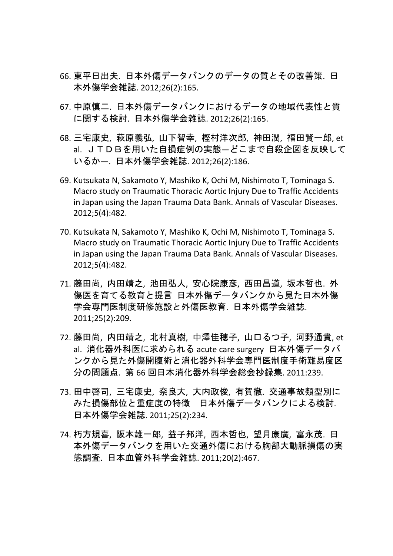- 66. 東平日出夫. 日本外傷データバンクのデータの質とその改善策. 日 本外傷学会雑誌. 2012;26(2):165.
- 67. 中原慎二. 日本外傷データバンクにおけるデータの地域代表性と質 に関する検討. 日本外傷学会雑誌. 2012;26(2):165.
- 68. 三宅康史, 萩原義弘, 山下智幸, 樫村洋次郎, 神田潤, 福田賢一郎, et al. JTDBを用いた自損症例の実態—どこまで自殺企図を反映して いるか—. 日本外傷学会雑誌. 2012;26(2):186.
- 69. Kutsukata N, Sakamoto Y, Mashiko K, Ochi M, Nishimoto T, Tominaga S. Macro study on Traumatic Thoracic Aortic Injury Due to Traffic Accidents in Japan using the Japan Trauma Data Bank. Annals of Vascular Diseases. 2012;5(4):482.
- 70. Kutsukata N, Sakamoto Y, Mashiko K, Ochi M, Nishimoto T, Tominaga S. Macro study on Traumatic Thoracic Aortic Injury Due to Traffic Accidents in Japan using the Japan Trauma Data Bank. Annals of Vascular Diseases. 2012;5(4):482.
- 71. 藤田尚, 内田靖之, 池田弘人, 安心院康彦, 西田昌道, 坂本哲也. 外 傷医を育てる教育と提言 日本外傷データバンクから見た日本外傷 学会専門医制度研修施設と外傷医教育. 日本外傷学会雑誌. 2011;25(2):209.
- 72. 藤田尚, 内田靖之, 北村真樹, 中澤佳穂子, 山口るつ子, 河野通貴, et al. 消化器外科医に求められる acute care surgery 日本外傷データバ ンクから見た外傷開腹術と消化器外科学会専門医制度手術難易度区 分の問題点. 第 66 回日本消化器外科学会総会抄録集. 2011:239.
- 73. 田中啓司, 三宅康史, 奈良大, 大内政俊, 有賀徹. 交通事故類型別に みた損傷部位と重症度の特徴 日本外傷データバンクによる検討. 日本外傷学会雑誌. 2011;25(2):234.
- 74. 朽方規喜, 阪本雄一郎, 益子邦洋, 西本哲也, 望月康廣, 富永茂. 日 本外傷データバンクを用いた交通外傷における胸部大動脈損傷の実 態調査. 日本血管外科学会雑誌. 2011;20(2):467.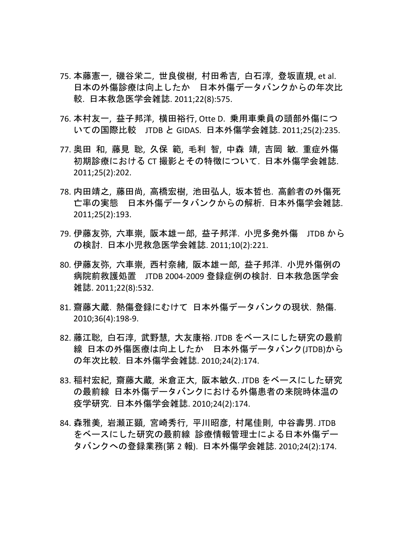- 75. 本藤憲一, 磯谷栄二, 世良俊樹, 村田希吉, 白石淳, 登坂直規, et al. 日本の外傷診療は向上したか 日本外傷データバンクからの年次比 較. 日本救急医学会雑誌. 2011;22(8):575.
- 76. 本村友一, 益子邦洋, 横田裕行, Otte D. 乗用車乗員の頭部外傷につ いての国際比較 JTDB と GIDAS. 日本外傷学会雑誌. 2011;25(2):235.
- 77. 奥田 和, 藤見 聡, 久保 範, 毛利 智, 中森 靖, 吉岡 敏. 重症外傷 初期診療における CT 撮影とその特徴について. 日本外傷学会雑誌. 2011;25(2):202.
- 78. 内田靖之, 藤田尚, 高橋宏樹, 池田弘人, 坂本哲也. 高齢者の外傷死 亡率の実態 日本外傷データバンクからの解析. 日本外傷学会雑誌. 2011;25(2):193.
- 79. 伊藤友弥, 六車崇, 阪本雄一郎, 益子邦洋. 小児多発外傷 JTDB から の検討. 日本小児救急医学会雑誌. 2011;10(2):221.
- 80. 伊藤友弥, 六車崇, 西村奈緒, 阪本雄一郎, 益子邦洋. 小児外傷例の 病院前救護処置 JTDB 2004‐2009 登録症例の検討. 日本救急医学会 雑誌. 2011;22(8):532.
- 81. 齋藤大蔵. 熱傷登録にむけて 日本外傷データバンクの現状. 熱傷. 2010;36(4):198‐9.
- 82. 藤江聡, 白石淳, 武野慧, 大友康裕. JTDB をベースにした研究の最前 線 日本の外傷医療は向上したか 日本外傷データバンク(JTDB)から の年次比較. 日本外傷学会雑誌. 2010;24(2):174.
- 83. 稲村宏紀, 齋藤大蔵, 米倉正大, 阪本敏久. JTDB をベースにした研究 の最前線 日本外傷データバンクにおける外傷患者の来院時体温の 疫学研究. 日本外傷学会雑誌. 2010;24(2):174.
- 84. 森雅美, 岩瀬正顕, 宮崎秀行, 平川昭彦, 村尾佳則, 中谷壽男. JTDB をベースにした研究の最前線 診療情報管理士による日本外傷デー タバンクへの登録業務(第 2 報). 日本外傷学会雑誌. 2010;24(2):174.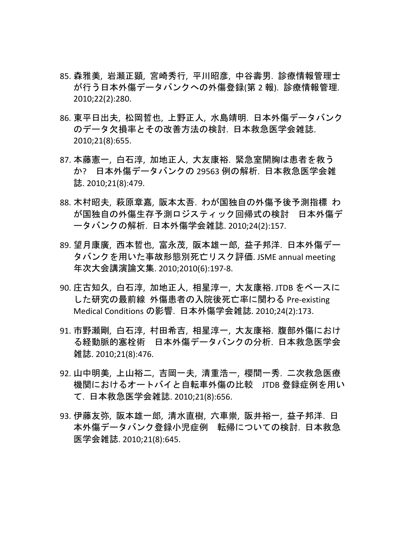- 85. 森雅美, 岩瀬正顕, 宮崎秀行, 平川昭彦, 中谷壽男. 診療情報管理士 が行う日本外傷データバンクへの外傷登録(第 2 報). 診療情報管理. 2010;22(2):280.
- 86. 東平日出夫, 松岡哲也, 上野正人, 水島靖明. 日本外傷データバンク のデータ欠損率とその改善方法の検討. 日本救急医学会雑誌. 2010;21(8):655.
- 87. 本藤憲一, 白石淳, 加地正人, 大友康裕. 緊急室開胸は患者を救う か? 日本外傷データバンクの 29563 例の解析. 日本救急医学会雑 誌. 2010;21(8):479.
- 88. 木村昭夫, 萩原章嘉, 阪本太吾. わが国独自の外傷予後予測指標 わ が国独自の外傷生存予測ロジスティック回帰式の検討 日本外傷デ ータバンクの解析. 日本外傷学会雑誌. 2010;24(2):157.
- 89. 望月康廣, 西本哲也, 富永茂, 阪本雄一郎, 益子邦洋. 日本外傷デー タバンクを用いた事故形態別死亡リスク評価. JSME annual meeting 年次大会講演論文集. 2010;2010(6):197‐8.
- 90. 庄古知久, 白石淳, 加地正人, 相星淳一, 大友康裕. JTDB をベースに した研究の最前線 外傷患者の入院後死亡率に関わる Pre‐existing Medical Conditions の影響. 日本外傷学会雑誌. 2010;24(2):173.
- 91. 市野瀬剛, 白石淳, 村田希吉, 相星淳一, 大友康裕. 腹部外傷におけ る経動脈的塞栓術 日本外傷データバンクの分析. 日本救急医学会 雑誌. 2010;21(8):476.
- 92. 山中明美, 上山裕二, 吉岡一夫, 清重浩一, 櫻間一秀. 二次救急医療 機関におけるオートバイと自転車外傷の比較 JTDB 登録症例を用い て. 日本救急医学会雑誌. 2010;21(8):656.
- 93. 伊藤友弥, 阪本雄一郎, 清水直樹, 六車崇, 阪井裕一, 益子邦洋. 日 本外傷データバンク登録小児症例 転帰についての検討. 日本救急 医学会雑誌. 2010;21(8):645.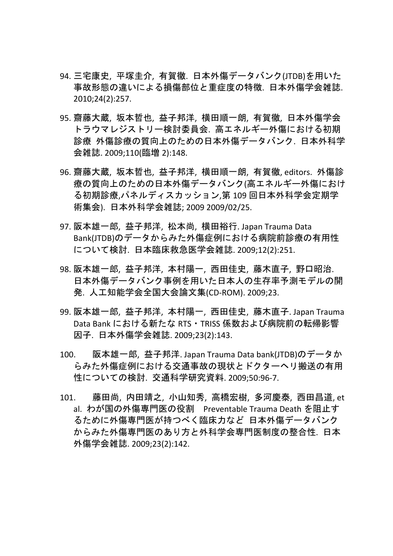- 94. 三宅康史, 平塚圭介, 有賀徹. 日本外傷データバンク(JTDB)を用いた 事故形態の違いによる損傷部位と重症度の特徴. 日本外傷学会雑誌. 2010;24(2):257.
- 95. 齋藤大蔵, 坂本哲也, 益子邦洋, 横田順一朗, 有賀徹, 日本外傷学会 トラウマレジストリー検討委員会. 高エネルギー外傷における初期 診療 外傷診療の質向上のための日本外傷データバンク. 日本外科学 会雑誌. 2009;110(臨増 2):148.
- 96. 齋藤大蔵, 坂本哲也, 益子邦洋, 横田順一朗, 有賀徹, editors. 外傷診 療の質向上のための日本外傷データバンク(高エネルギー外傷におけ る初期診療,パネルディスカッション,第 109 回日本外科学会定期学 術集会). 日本外科学会雑誌; 2009 2009/02/25.
- 97. 阪本雄一郎, 益子邦洋, 松本尚, 横田裕行. Japan Trauma Data Bank(JTDB)のデータからみた外傷症例における病院前診療の有用性 について検討. 日本臨床救急医学会雑誌. 2009;12(2):251.
- 98. 阪本雄一郎, 益子邦洋, 本村陽一, 西田佳史, 藤木直子, 野口昭治. 日本外傷データバンク事例を用いた日本人の生存率予測モデルの開 発. 人工知能学会全国大会論文集(CD‐ROM). 2009;23.
- 99. 阪本雄一郎, 益子邦洋, 本村陽一, 西田佳史, 藤木直子. Japan Trauma Data Bank における新たな RTS・TRISS 係数および病院前の転帰影響 因子. 日本外傷学会雑誌. 2009;23(2):143.
- 100. 阪本雄一郎, 益子邦洋. Japan Trauma Data bank(JTDB)のデータか らみた外傷症例における交通事故の現状とドクターヘリ搬送の有用 性についての検討. 交通科学研究資料. 2009;50:96‐7.
- 101. 藤田尚, 内田靖之, 小山知秀, 高橋宏樹, 多河慶泰, 西田昌道, et al. わが国の外傷専門医の役割 Preventable Trauma Death を阻止す るために外傷専門医が持つべく臨床力など 日本外傷データバンク からみた外傷専門医のあり方と外科学会専門医制度の整合性. 日本 外傷学会雑誌. 2009;23(2):142.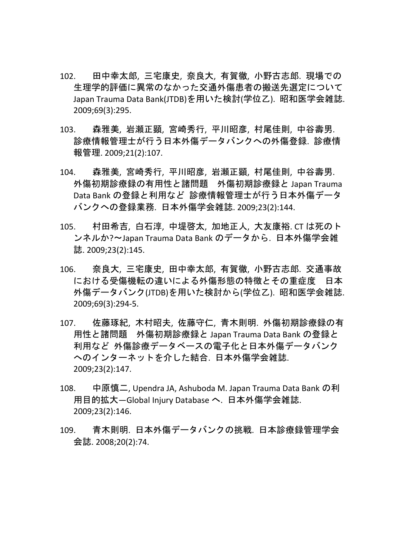- 102. 田中幸太郎, 三宅康史, 奈良大, 有賀徹, 小野古志郎. 現場での 生理学的評価に異常のなかった交通外傷患者の搬送先選定について Japan Trauma Data Bank(JTDB)を用いた検討(学位乙). 昭和医学会雑誌. 2009;69(3):295.
- 103. 森雅美, 岩瀬正顕, 宮崎秀行, 平川昭彦, 村尾佳則, 中谷壽男. 診療情報管理士が行う日本外傷データバンクへの外傷登録. 診療情 報管理. 2009;21(2):107.
- 104. 森雅美, 宮崎秀行, 平川昭彦, 岩瀬正顕, 村尾佳則, 中谷壽男. 外傷初期診療録の有用性と諸問題 外傷初期診療録と Japan Trauma Data Bank の登録と利用など 診療情報管理士が行う日本外傷データ バンクへの登録業務. 日本外傷学会雑誌. 2009;23(2):144.
- 105. 村田希吉, 白石淳, 中堤啓太, 加地正人, 大友康裕. CT は死のト ンネルか?〜Japan Trauma Data Bank のデータから. 日本外傷学会雑 誌. 2009;23(2):145.
- 106. 奈良大, 三宅康史, 田中幸太郎, 有賀徹, 小野古志郎. 交通事故 における受傷機転の違いによる外傷形態の特徴とその重症度 日本 外傷データバンク(JTDB)を用いた検討から(学位乙). 昭和医学会雑誌. 2009;69(3):294‐5.
- 107. 佐藤琢紀, 木村昭夫, 佐藤守仁, 青木則明. 外傷初期診療録の有 用性と諸問題 外傷初期診療録と Japan Trauma Data Bank の登録と 利用など 外傷診療データベースの電子化と日本外傷データバンク へのインターネットを介した結合. 日本外傷学会雑誌. 2009;23(2):147.
- 108. 中原慎二, Upendra JA, Ashuboda M. Japan Trauma Data Bank の利 用目的拡大—Global Injury Database へ. 日本外傷学会雑誌. 2009;23(2):146.
- 109. 青木則明. 日本外傷データバンクの挑戦. 日本診療録管理学会 会誌. 2008;20(2):74.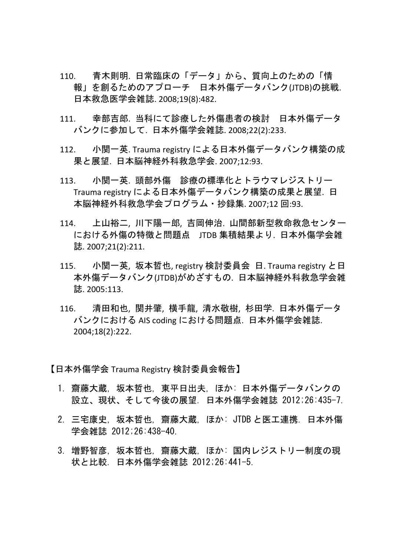- 110. 青木則明. 日常臨床の「データ」から、質向上のための「情 報」を創るためのアプローチ 日本外傷データバンク(JTDB)の挑戦. 日本救急医学会雑誌. 2008;19(8):482.
- 111. 幸部吉郎. 当科にて診療した外傷患者の検討 日本外傷データ バンクに参加して. 日本外傷学会雑誌. 2008;22(2):233.
- 112. 小関一英. Trauma registry による日本外傷データバンク構築の成 果と展望. 日本脳神経外科救急学会. 2007;12:93.
- 113. 小関一英. 頭部外傷 診療の標準化とトラウマレジストリー Trauma registry による日本外傷データバンク構築の成果と展望. 日 本脳神経外科救急学会プログラム・抄録集. 2007;12 回:93.
- 114. 上山裕二, 川下陽一郎, 吉岡伸治. 山間部新型救命救急センター における外傷の特徴と問題点 JTDB 集積結果より. 日本外傷学会雑 誌. 2007;21(2):211.
- 115. 小関一英, 坂本哲也, registry 検討委員会 日. Trauma registry と日 本外傷データバンク(JTDB)がめざすもの. 日本脳神経外科救急学会雑 誌. 2005:113.
- 116. 清田和也, 関井肇, 横手龍, 清水敬樹, 杉田学. 日本外傷データ バンクにおける AIS coding における問題点. 日本外傷学会雑誌. 2004;18(2):222.

【日本外傷学会 Trauma Registry 検討委員会報告】

- 1. 齋藤大蔵, 坂本哲也, 東平日出夫, ほか: 日本外傷データバンクの 設立、現状、そして今後の展望. 日本外傷学会雑誌 2012;26:435-7.
- 2. 三宅康史, 坂本哲也, 齋藤大蔵, ほか: JTDB と医工連携. 日本外傷 学会雑誌 2012;26:438-40.
- 3. 増野智彦, 坂本哲也, 齋藤大蔵, ほか: 国内レジストリー制度の現 状と比較. 日本外傷学会雑誌 2012;26:441-5.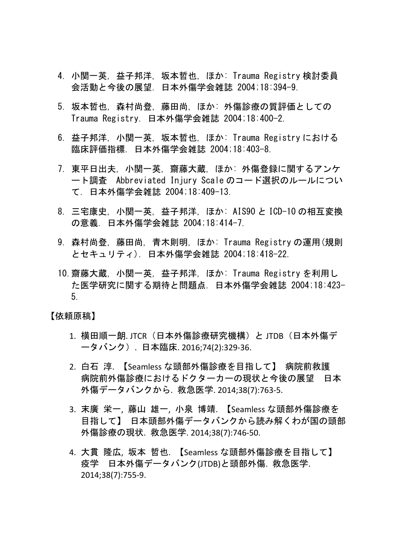- 4. 小関一英, 益子邦洋, 坂本哲也, ほか: Trauma Registry 検討委員 会活動と今後の展望. 日本外傷学会雑誌 2004;18:394-9.
- 5. 坂本哲也, 森村尚登, 藤田尚, ほか: 外傷診療の質評価としての Trauma Registry. 日本外傷学会雑誌 2004;18:400-2.
- 6. 益子邦洋, 小関一英, 坂本哲也, ほか: Trauma Registry における 臨床評価指標. 日本外傷学会雑誌 2004;18:403-8.
- 7. 東平日出夫, 小関一英, 齋藤大蔵, ほか: 外傷登録に関するアンケ ート調査 Abbreviated Injury Scale のコード選択のルールについ て. 日本外傷学会雑誌 2004;18:409-13.
- 8. 三宅康史, 小関一英, 益子邦洋, ほか: AIS90 と ICD-10 の相互変換 の意義. 日本外傷学会雑誌 2004;18:414-7.
- 9. 森村尚登, 藤田尚, 青木則明, ほか: Trauma Registry の運用(規則 とセキュリティ). 日本外傷学会雑誌 2004;18:418-22.
- 10.齋藤大蔵, 小関一英, 益子邦洋, ほか: Trauma Registry を利用し た医学研究に関する期待と問題点. 日本外傷学会雑誌 2004;18:423- 5.

【依頼原稿】

- 1. 横田順一朗. JTCR(日本外傷診療研究機構)と JTDB(日本外傷デ ータバンク). 日本臨床. 2016;74(2):329‐36.
- 2. 白石 淳. 【Seamless な頭部外傷診療を目指して】 病院前救護 病院前外傷診療におけるドクターカーの現状と今後の展望 日本 外傷データバンクから. 救急医学. 2014;38(7):763‐5.
- 3. 末廣 栄一, 藤山 雄一, 小泉 博靖. 【Seamless な頭部外傷診療を 目指して】 日本頭部外傷データバンクから読み解くわが国の頭部 外傷診療の現状. 救急医学. 2014;38(7):746‐50.
- 4. 大貫 隆広, 坂本 哲也. 【Seamless な頭部外傷診療を目指して】 疫学 日本外傷データバンク(JTDB)と頭部外傷. 救急医学. 2014;38(7):755‐9.